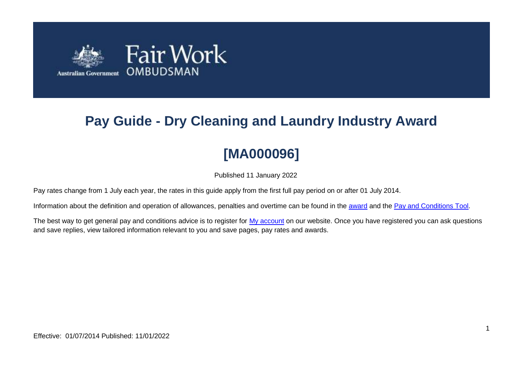

# **Pay Guide - Dry Cleaning and Laundry Industry Award**

# **[MA000096]**

Published 11 January 2022

Pay rates change from 1 July each year, the rates in this guide apply from the first full pay period on or after 01 July 2014.

Information about the definition and operation of allowances, penalties and overtime can be found in the [award](https://www.fairwork.gov.au/awards-and-agreements/awards/list-of-awards) and the [Pay and Conditions Tool.](https://calculate.fairwork.gov.au/)

The best way to get general pay and conditions advice is to register for [My account](https://www.fairwork.gov.au/my-account/registerpage.aspx) on our website. Once you have registered you can ask questions and save replies, view tailored information relevant to you and save pages, pay rates and awards.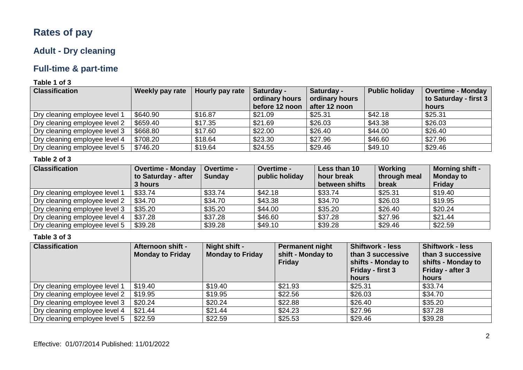# **Rates of pay**

### **Adult - Dry cleaning**

# **Full-time & part-time**

### **Table 1 of 3**

| <b>Classification</b>         | Weekly pay rate | Hourly pay rate | Saturday -<br>Saturday - |                | <b>Public holiday</b> | <b>Overtime - Monday</b> |
|-------------------------------|-----------------|-----------------|--------------------------|----------------|-----------------------|--------------------------|
|                               |                 |                 | ordinary hours           | ordinary hours |                       | to Saturday - first 3    |
|                               |                 |                 | before 12 noon           | after 12 noon  |                       | hours                    |
| Dry cleaning employee level 1 | \$640.90        | \$16.87         | \$21.09                  | \$25.31        | \$42.18               | \$25.31                  |
| Dry cleaning employee level 2 | \$659.40        | \$17.35         | \$21.69                  | \$26.03        | \$43.38               | \$26.03                  |
| Dry cleaning employee level 3 | \$668.80        | \$17.60         | \$22.00                  | \$26.40        | \$44.00               | \$26.40                  |
| Dry cleaning employee level 4 | \$708.20        | \$18.64         | \$23.30                  | \$27.96        | \$46.60               | \$27.96                  |
| Dry cleaning employee level 5 | \$746.20        | \$19.64         | \$24.55                  | \$29.46        | \$49.10               | \$29.46                  |

### **Table 2 of 3**

| <b>Classification</b>         | <b>Overtime - Monday</b> | Overtime -    | <b>Overtime -</b> | Less than 10   | Working      | <b>Morning shift -</b> |
|-------------------------------|--------------------------|---------------|-------------------|----------------|--------------|------------------------|
|                               | to Saturday - after      | <b>Sunday</b> | public holiday    | hour break     | through meal | <b>Monday to</b>       |
|                               | 3 hours                  |               |                   | between shifts | break        | Friday                 |
| Dry cleaning employee level 1 | \$33.74                  | \$33.74       | \$42.18           | \$33.74        | \$25.31      | \$19.40                |
| Dry cleaning employee level 2 | \$34.70                  | \$34.70       | \$43.38           | \$34.70        | \$26.03      | \$19.95                |
| Dry cleaning employee level 3 | \$35.20                  | \$35.20       | \$44.00           | \$35.20        | \$26.40      | \$20.24                |
| Dry cleaning employee level 4 | \$37.28                  | \$37.28       | \$46.60           | \$37.28        | \$27.96      | \$21.44                |
| Dry cleaning employee level 5 | \$39.28                  | \$39.28       | \$49.10           | \$39.28        | \$29.46      | \$22.59                |

| <b>Classification</b>         | Afternoon shift -       | Night shift -           | <b>Permanent night</b>             | <b>Shiftwork - less</b>                 | <b>Shiftwork - less</b>                 |
|-------------------------------|-------------------------|-------------------------|------------------------------------|-----------------------------------------|-----------------------------------------|
|                               | <b>Monday to Friday</b> | <b>Monday to Friday</b> | shift - Monday to<br><b>Friday</b> | than 3 successive<br>shifts - Monday to | than 3 successive<br>shifts - Monday to |
|                               |                         |                         |                                    | Friday - first 3                        | Friday - after 3                        |
|                               |                         |                         |                                    | hours                                   | hours                                   |
| Dry cleaning employee level 1 | \$19.40                 | \$19.40                 | \$21.93                            | \$25.31                                 | \$33.74                                 |
| Dry cleaning employee level 2 | \$19.95                 | \$19.95                 | \$22.56                            | \$26.03                                 | \$34.70                                 |
| Dry cleaning employee level 3 | \$20.24                 | \$20.24                 | \$22.88                            | \$26.40                                 | \$35.20                                 |
| Dry cleaning employee level 4 | \$21.44                 | \$21.44                 | \$24.23                            | \$27.96                                 | \$37.28                                 |
| Dry cleaning employee level 5 | \$22.59                 | \$22.59                 | \$25.53                            | \$29.46                                 | \$39.28                                 |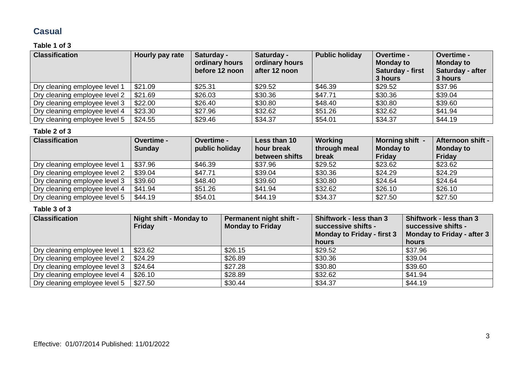### **Casual**

### **Table 1 of 3**

| <b>Classification</b>         | Hourly pay rate | Saturday -<br>ordinary hours<br>before 12 noon | Saturday -<br>ordinary hours<br>after 12 noon | <b>Public holiday</b> | <b>Overtime -</b><br><b>Monday to</b><br>Saturday - first<br>3 hours | Overtime -<br><b>Monday to</b><br>Saturday - after<br>3 hours |
|-------------------------------|-----------------|------------------------------------------------|-----------------------------------------------|-----------------------|----------------------------------------------------------------------|---------------------------------------------------------------|
| Dry cleaning employee level 1 | \$21.09         | \$25.31                                        | \$29.52                                       | \$46.39               | \$29.52                                                              | \$37.96                                                       |
| Dry cleaning employee level 2 | \$21.69         | \$26.03                                        | \$30.36                                       | \$47.71               | \$30.36                                                              | \$39.04                                                       |
| Dry cleaning employee level 3 | \$22.00         | \$26.40                                        | \$30.80                                       | \$48.40               | \$30.80                                                              | \$39.60                                                       |
| Dry cleaning employee level 4 | \$23.30         | \$27.96                                        | \$32.62                                       | \$51.26               | \$32.62                                                              | \$41.94                                                       |
| Dry cleaning employee level 5 | \$24.55         | \$29.46                                        | \$34.37                                       | \$54.01               | \$34.37                                                              | \$44.19                                                       |

#### **Table 2 of 3**

| <b>Classification</b>         | <b>Overtime -</b><br><b>Sunday</b> | <b>Overtime -</b><br>public holiday | Less than 10<br>hour break<br>between shifts | Working<br>through meal<br>break | Morning shift -<br><b>Monday to</b><br>Friday | Afternoon shift -<br><b>Monday to</b><br>Friday |
|-------------------------------|------------------------------------|-------------------------------------|----------------------------------------------|----------------------------------|-----------------------------------------------|-------------------------------------------------|
| Dry cleaning employee level 1 | \$37.96                            | \$46.39                             | \$37.96                                      | \$29.52                          | \$23.62                                       | \$23.62                                         |
| Dry cleaning employee level 2 | \$39.04                            | \$47.71                             | \$39.04                                      | \$30.36                          | \$24.29                                       | \$24.29                                         |
| Dry cleaning employee level 3 | \$39.60                            | \$48.40                             | \$39.60                                      | \$30.80                          | \$24.64                                       | \$24.64                                         |
| Dry cleaning employee level 4 | \$41.94                            | \$51.26                             | \$41.94                                      | \$32.62                          | \$26.10                                       | \$26.10                                         |
| Dry cleaning employee level 5 | \$44.19                            | \$54.01                             | \$44.19                                      | \$34.37                          | \$27.50                                       | \$27.50                                         |

| <b>Classification</b>         | <b>Night shift - Monday to</b><br><b>Friday</b> | <b>Permanent night shift -</b><br><b>Monday to Friday</b> | Shiftwork - less than 3<br>successive shifts -<br><b>Monday to Friday - first 3</b><br>hours | Shiftwork - less than 3<br>successive shifts -<br>Monday to Friday - after 3<br>hours |
|-------------------------------|-------------------------------------------------|-----------------------------------------------------------|----------------------------------------------------------------------------------------------|---------------------------------------------------------------------------------------|
| Dry cleaning employee level 1 | \$23.62                                         | \$26.15                                                   | \$29.52                                                                                      | \$37.96                                                                               |
| Dry cleaning employee level 2 | \$24.29                                         | \$26.89                                                   | \$30.36                                                                                      | \$39.04                                                                               |
| Dry cleaning employee level 3 | \$24.64                                         | \$27.28                                                   | \$30.80                                                                                      | \$39.60                                                                               |
| Dry cleaning employee level 4 | \$26.10                                         | \$28.89                                                   | \$32.62                                                                                      | \$41.94                                                                               |
| Dry cleaning employee level 5 | \$27.50                                         | \$30.44                                                   | \$34.37                                                                                      | \$44.19                                                                               |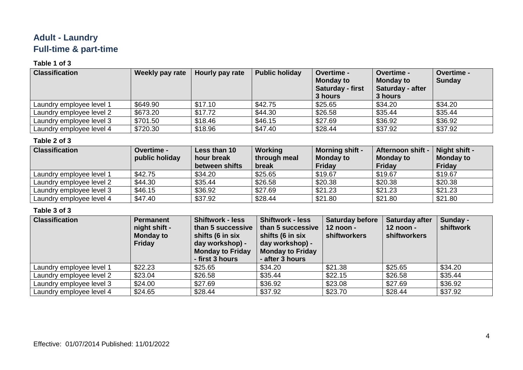### **Adult - Laundry Full-time & part-time**

### **Table 1 of 3**

| <b>Classification</b>    | Weekly pay rate | Hourly pay rate | <b>Public holiday</b> | <b>Overtime -</b><br><b>Monday to</b><br>Saturday - first<br>3 hours | <b>Overtime -</b><br><b>Monday to</b><br>Saturday - after<br>3 hours | <b>Overtime -</b><br><b>Sunday</b> |
|--------------------------|-----------------|-----------------|-----------------------|----------------------------------------------------------------------|----------------------------------------------------------------------|------------------------------------|
| Laundry employee level 1 | \$649.90        | \$17.10         | \$42.75               | \$25.65                                                              | \$34.20                                                              | \$34.20                            |
| Laundry employee level 2 | \$673.20        | \$17.72         | \$44.30               | \$26.58                                                              | \$35.44                                                              | \$35.44                            |
| Laundry employee level 3 | \$701.50        | \$18.46         | \$46.15               | \$27.69                                                              | \$36.92                                                              | \$36.92                            |
| Laundry employee level 4 | \$720.30        | \$18.96         | \$47.40               | \$28.44                                                              | \$37.92                                                              | \$37.92                            |

### **Table 2 of 3**

| <b>Classification</b>    | <b>Overtime -</b><br>public holiday | Less than 10<br>hour break<br>between shifts | Working<br>through meal<br>break | <b>Morning shift -</b><br><b>Monday to</b><br><b>Friday</b> | Afternoon shift -<br><b>Monday to</b><br><b>Friday</b> | Night shift -<br><b>Monday to</b><br><b>Friday</b> |
|--------------------------|-------------------------------------|----------------------------------------------|----------------------------------|-------------------------------------------------------------|--------------------------------------------------------|----------------------------------------------------|
| Laundry employee level 1 | \$42.75                             | \$34.20                                      | \$25.65                          | \$19.67                                                     | \$19.67                                                | \$19.67                                            |
| Laundry employee level 2 | \$44.30                             | \$35.44                                      | \$26.58                          | \$20.38                                                     | \$20.38                                                | \$20.38                                            |
| Laundry employee level 3 | \$46.15                             | \$36.92                                      | \$27.69                          | \$21.23                                                     | \$21.23                                                | \$21.23                                            |
| Laundry employee level 4 | \$47.40                             | \$37.92                                      | \$28.44                          | \$21.80                                                     | \$21.80                                                | \$21.80                                            |

| <b>Classification</b>    | <b>Permanent</b><br>night shift -<br><b>Monday to</b><br>Friday | <b>Shiftwork - less</b><br>than 5 successive<br>shifts (6 in six<br>day workshop) -<br><b>Monday to Friday</b><br>- first 3 hours | <b>Shiftwork - less</b><br>than 5 successive<br>shifts (6 in six<br>day workshop) -<br><b>Monday to Friday</b><br>- after 3 hours | <b>Saturday before</b><br>12 noon -<br>shiftworkers | <b>Saturday after</b><br>12 noon -<br>shiftworkers | Sunday -<br>shiftwork |
|--------------------------|-----------------------------------------------------------------|-----------------------------------------------------------------------------------------------------------------------------------|-----------------------------------------------------------------------------------------------------------------------------------|-----------------------------------------------------|----------------------------------------------------|-----------------------|
| Laundry employee level 1 | \$22.23                                                         | \$25.65                                                                                                                           | \$34.20                                                                                                                           | \$21.38                                             | \$25.65                                            | \$34.20               |
| Laundry employee level 2 | \$23.04                                                         | \$26.58                                                                                                                           | \$35.44                                                                                                                           | \$22.15                                             | \$26.58                                            | \$35.44               |
| Laundry employee level 3 | \$24.00                                                         | \$27.69                                                                                                                           | \$36.92                                                                                                                           | \$23.08                                             | \$27.69                                            | \$36.92               |
| Laundry employee level 4 | \$24.65                                                         | \$28.44                                                                                                                           | \$37.92                                                                                                                           | \$23.70                                             | \$28.44                                            | \$37.92               |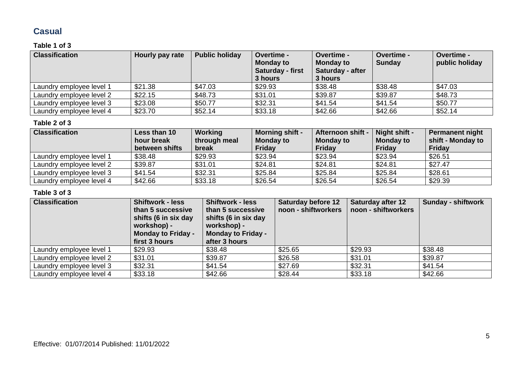### **Casual**

### **Table 1 of 3**

| <b>Classification</b>    | Hourly pay rate | <b>Public holiday</b> | <b>Overtime -</b><br><b>Monday to</b><br>Saturday - first<br>3 hours | <b>Overtime -</b><br><b>Monday to</b><br>Saturday - after<br>3 hours | Overtime -<br><b>Sunday</b> | <b>Overtime -</b><br>public holiday |
|--------------------------|-----------------|-----------------------|----------------------------------------------------------------------|----------------------------------------------------------------------|-----------------------------|-------------------------------------|
| Laundry employee level 1 | \$21.38         | \$47.03               | \$29.93                                                              | \$38.48                                                              | \$38.48                     | \$47.03                             |
| Laundry employee level 2 | \$22.15         | \$48.73               | \$31.01                                                              | \$39.87                                                              | \$39.87                     | \$48.73                             |
| Laundry employee level 3 | \$23.08         | \$50.77               | \$32.31                                                              | \$41.54                                                              | \$41.54                     | \$50.77                             |
| Laundry employee level 4 | \$23.70         | \$52.14               | \$33.18                                                              | \$42.66                                                              | \$42.66                     | \$52.14                             |

#### **Table 2 of 3**

| <b>Classification</b>    | Less than 10<br>hour break<br>between shifts | Working<br>through meal<br>break | <b>Morning shift -</b><br><b>Monday to</b><br>Friday | Afternoon shift -<br><b>Monday to</b><br>Friday | Night shift -<br><b>Monday to</b><br>Friday | <b>Permanent night</b><br>shift - Monday to<br><b>Friday</b> |
|--------------------------|----------------------------------------------|----------------------------------|------------------------------------------------------|-------------------------------------------------|---------------------------------------------|--------------------------------------------------------------|
| Laundry employee level 1 | \$38.48                                      | \$29.93                          | \$23.94                                              | \$23.94                                         | \$23.94                                     | \$26.51                                                      |
| Laundry employee level 2 | \$39.87                                      | \$31.01                          | \$24.81                                              | \$24.81                                         | \$24.81                                     | \$27.47                                                      |
| Laundry employee level 3 | \$41.54                                      | \$32.31                          | \$25.84                                              | \$25.84                                         | \$25.84                                     | \$28.61                                                      |
| Laundry employee level 4 | \$42.66                                      | \$33.18                          | \$26.54                                              | \$26.54                                         | \$26.54                                     | \$29.39                                                      |

| <b>Classification</b>    | <b>Shiftwork - less</b><br>than 5 successive<br>shifts (6 in six day<br>workshop) -<br><b>Monday to Friday -</b><br>first 3 hours | <b>Shiftwork - less</b><br>than 5 successive<br>shifts (6 in six day<br>workshop) -<br><b>Monday to Friday -</b><br>after 3 hours | <b>Saturday before 12</b><br>noon - shiftworkers | <b>Saturday after 12</b><br>noon - shiftworkers | <b>Sunday - shiftwork</b> |
|--------------------------|-----------------------------------------------------------------------------------------------------------------------------------|-----------------------------------------------------------------------------------------------------------------------------------|--------------------------------------------------|-------------------------------------------------|---------------------------|
| Laundry employee level 1 | \$29.93                                                                                                                           | \$38.48                                                                                                                           | \$25.65                                          | \$29.93                                         | \$38.48                   |
| Laundry employee level 2 | \$31.01                                                                                                                           | \$39.87                                                                                                                           | \$26.58                                          | \$31.01                                         | \$39.87                   |
| Laundry employee level 3 | \$32.31                                                                                                                           | \$41.54                                                                                                                           | \$27.69                                          | \$32.31                                         | \$41.54                   |
| Laundry employee level 4 | \$33.18                                                                                                                           | \$42.66                                                                                                                           | \$28.44                                          | \$33.18                                         | \$42.66                   |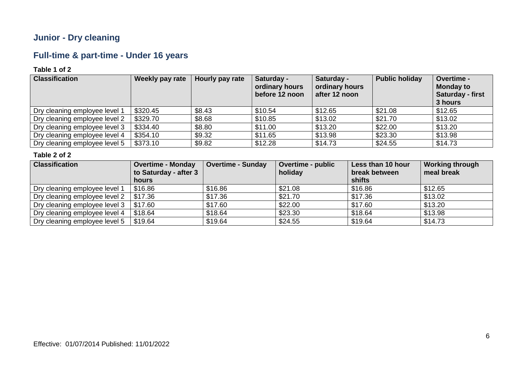### **Junior - Dry cleaning**

# **Full-time & part-time - Under 16 years**

### **Table 1 of 2**

| <b>Classification</b>         | Weekly pay rate | Hourly pay rate | Saturday -<br>ordinary hours<br>before 12 noon | Saturday -<br>ordinary hours<br>after 12 noon | <b>Public holiday</b> | Overtime -<br><b>Monday to</b><br><b>Saturday - first</b><br>3 hours |
|-------------------------------|-----------------|-----------------|------------------------------------------------|-----------------------------------------------|-----------------------|----------------------------------------------------------------------|
| Dry cleaning employee level 1 | \$320.45        | \$8.43          | \$10.54                                        | \$12.65                                       | \$21.08               | \$12.65                                                              |
| Dry cleaning employee level 2 | \$329.70        | \$8.68          | \$10.85                                        | \$13.02                                       | \$21.70               | \$13.02                                                              |
| Dry cleaning employee level 3 | \$334.40        | \$8.80          | \$11.00                                        | \$13.20                                       | \$22.00               | \$13.20                                                              |
| Dry cleaning employee level 4 | \$354.10        | \$9.32          | \$11.65                                        | \$13.98                                       | \$23.30               | \$13.98                                                              |
| Dry cleaning employee level 5 | \$373.10        | \$9.82          | \$12.28                                        | \$14.73                                       | \$24.55               | \$14.73                                                              |

| <b>Classification</b>         | <b>Overtime - Monday</b><br>to Saturday - after 3 | <b>Overtime - Sunday</b> | <b>Overtime - public</b><br>holiday | Less than 10 hour<br>break between | <b>Working through</b><br>meal break |
|-------------------------------|---------------------------------------------------|--------------------------|-------------------------------------|------------------------------------|--------------------------------------|
|                               | hours                                             |                          |                                     | shifts                             |                                      |
| Dry cleaning employee level 1 | \$16.86                                           | \$16.86                  | \$21.08                             | \$16.86                            | \$12.65                              |
| Dry cleaning employee level 2 | \$17.36                                           | \$17.36                  | \$21.70                             | \$17.36                            | \$13.02                              |
| Dry cleaning employee level 3 | \$17.60                                           | \$17.60                  | \$22.00                             | \$17.60                            | \$13.20                              |
| Dry cleaning employee level 4 | \$18.64                                           | \$18.64                  | \$23.30                             | \$18.64                            | \$13.98                              |
| Dry cleaning employee level 5 | \$19.64                                           | \$19.64                  | \$24.55                             | \$19.64                            | \$14.73                              |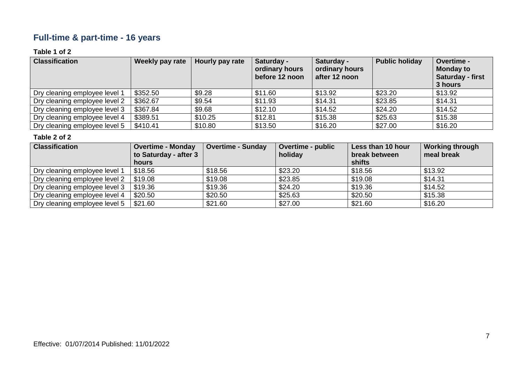### **Full-time & part-time - 16 years**

### **Table 1 of 2**

| <b>Classification</b>         | Weekly pay rate | Hourly pay rate | Saturday -<br>ordinary hours<br>before 12 noon | Saturday -<br>ordinary hours<br>after 12 noon | <b>Public holiday</b> | Overtime -<br><b>Monday to</b><br><b>Saturday - first</b><br>3 hours |
|-------------------------------|-----------------|-----------------|------------------------------------------------|-----------------------------------------------|-----------------------|----------------------------------------------------------------------|
| Dry cleaning employee level 1 | \$352.50        | \$9.28          | \$11.60                                        | \$13.92                                       | \$23.20               | \$13.92                                                              |
| Dry cleaning employee level 2 | \$362.67        | \$9.54          | \$11.93                                        | \$14.31                                       | \$23.85               | \$14.31                                                              |
| Dry cleaning employee level 3 | \$367.84        | \$9.68          | \$12.10                                        | \$14.52                                       | \$24.20               | \$14.52                                                              |
| Dry cleaning employee level 4 | \$389.51        | \$10.25         | \$12.81                                        | \$15.38                                       | \$25.63               | \$15.38                                                              |
| Dry cleaning employee level 5 | \$410.41        | \$10.80         | \$13.50                                        | \$16.20                                       | \$27.00               | \$16.20                                                              |

| <b>Classification</b>         | <b>Overtime - Monday</b><br>to Saturday - after 3 | <b>Overtime - Sunday</b> | <b>Overtime - public</b><br>holiday | Less than 10 hour<br>break between | <b>Working through</b><br>meal break |
|-------------------------------|---------------------------------------------------|--------------------------|-------------------------------------|------------------------------------|--------------------------------------|
|                               | hours                                             |                          |                                     | shifts                             |                                      |
| Dry cleaning employee level 1 | \$18.56                                           | \$18.56                  | \$23.20                             | \$18.56                            | \$13.92                              |
| Dry cleaning employee level 2 | \$19.08                                           | \$19.08                  | \$23.85                             | \$19.08                            | \$14.31                              |
| Dry cleaning employee level 3 | \$19.36                                           | \$19.36                  | \$24.20                             | \$19.36                            | \$14.52                              |
| Dry cleaning employee level 4 | \$20.50                                           | \$20.50                  | \$25.63                             | \$20.50                            | \$15.38                              |
| Dry cleaning employee level 5 | \$21.60                                           | \$21.60                  | \$27.00                             | \$21.60                            | \$16.20                              |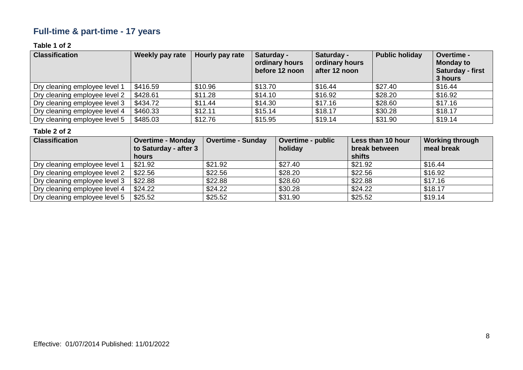# **Full-time & part-time - 17 years**

### **Table 1 of 2**

| <b>Classification</b>         | Weekly pay rate | Hourly pay rate | Saturday -<br>ordinary hours<br>before 12 noon | Saturday -<br>ordinary hours<br>after 12 noon | <b>Public holiday</b> | Overtime -<br><b>Monday to</b><br>Saturday - first<br>3 hours |
|-------------------------------|-----------------|-----------------|------------------------------------------------|-----------------------------------------------|-----------------------|---------------------------------------------------------------|
| Dry cleaning employee level 1 | \$416.59        | \$10.96         | \$13.70                                        | \$16.44                                       | \$27.40               | \$16.44                                                       |
| Dry cleaning employee level 2 | \$428.61        | \$11.28         | \$14.10                                        | \$16.92                                       | \$28.20               | \$16.92                                                       |
| Dry cleaning employee level 3 | \$434.72        | \$11.44         | \$14.30                                        | \$17.16                                       | \$28.60               | \$17.16                                                       |
| Dry cleaning employee level 4 | \$460.33        | \$12.11         | \$15.14                                        | \$18.17                                       | \$30.28               | \$18.17                                                       |
| Dry cleaning employee level 5 | \$485.03        | \$12.76         | \$15.95                                        | \$19.14                                       | \$31.90               | \$19.14                                                       |

| <b>Classification</b>         | <b>Overtime - Monday</b><br>to Saturday - after 3<br>hours | <b>Overtime - Sunday</b> | <b>Overtime - public</b><br>holiday | Less than 10 hour<br>break between<br>shifts | <b>Working through</b><br>meal break |
|-------------------------------|------------------------------------------------------------|--------------------------|-------------------------------------|----------------------------------------------|--------------------------------------|
| Dry cleaning employee level 1 | \$21.92                                                    | \$21.92                  | \$27.40                             | \$21.92                                      | \$16.44                              |
| Dry cleaning employee level 2 | \$22.56                                                    | \$22.56                  | \$28.20                             | \$22.56                                      | \$16.92                              |
| Dry cleaning employee level 3 | \$22.88                                                    | \$22.88                  | \$28.60                             | \$22.88                                      | \$17.16                              |
| Dry cleaning employee level 4 | \$24.22                                                    | \$24.22                  | \$30.28                             | \$24.22                                      | \$18.17                              |
| Dry cleaning employee level 5 | \$25.52                                                    | \$25.52                  | \$31.90                             | \$25.52                                      | \$19.14                              |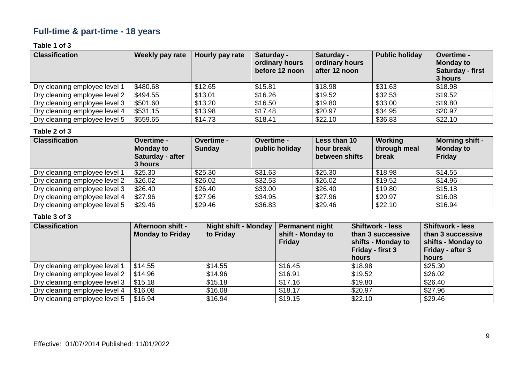### **Full-time & part-time - 18 years**

### **Table 1 of 3**

| <b>Classification</b>         | Weekly pay rate | Hourly pay rate | Saturday -<br>ordinary hours<br>before 12 noon | Saturday -<br>ordinary hours<br>after 12 noon | <b>Public holiday</b> | Overtime -<br><b>Monday to</b><br>Saturday - first<br>3 hours |
|-------------------------------|-----------------|-----------------|------------------------------------------------|-----------------------------------------------|-----------------------|---------------------------------------------------------------|
| Dry cleaning employee level 1 | \$480.68        | \$12.65         | \$15.81                                        | \$18.98                                       | \$31.63               | \$18.98                                                       |
| Dry cleaning employee level 2 | \$494.55        | \$13.01         | \$16.26                                        | \$19.52                                       | \$32.53               | \$19.52                                                       |
| Dry cleaning employee level 3 | \$501.60        | \$13.20         | \$16.50                                        | \$19.80                                       | \$33.00               | \$19.80                                                       |
| Dry cleaning employee level 4 | \$531.15        | \$13.98         | \$17.48                                        | \$20.97                                       | \$34.95               | \$20.97                                                       |
| Dry cleaning employee level 5 | \$559.65        | \$14.73         | \$18.41                                        | \$22.10                                       | \$36.83               | \$22.10                                                       |

#### **Table 2 of 3**

| <b>Classification</b>         | <b>Overtime -</b><br><b>Monday to</b><br>Saturday - after<br>3 hours | <b>Overtime -</b><br><b>Sunday</b> | <b>Overtime -</b><br>public holiday | Less than 10<br>hour break<br>between shifts | Working<br>through meal<br>break | <b>Morning shift -</b><br><b>Monday to</b><br>Friday |
|-------------------------------|----------------------------------------------------------------------|------------------------------------|-------------------------------------|----------------------------------------------|----------------------------------|------------------------------------------------------|
| Dry cleaning employee level 1 | \$25.30                                                              | \$25.30                            | \$31.63                             | \$25.30                                      | \$18.98                          | \$14.55                                              |
| Dry cleaning employee level 2 | \$26.02                                                              | \$26.02                            | \$32.53                             | \$26.02                                      | \$19.52                          | \$14.96                                              |
| Dry cleaning employee level 3 | \$26.40                                                              | \$26.40                            | \$33.00                             | \$26.40                                      | \$19.80                          | \$15.18                                              |
| Dry cleaning employee level 4 | \$27.96                                                              | \$27.96                            | \$34.95                             | \$27.96                                      | \$20.97                          | \$16.08                                              |
| Dry cleaning employee level 5 | \$29.46                                                              | \$29.46                            | \$36.83                             | \$29.46                                      | \$22.10                          | \$16.94                                              |

| <b>Classification</b>         | <b>Afternoon shift -</b><br><b>Monday to Friday</b> | Night shift - Monday<br>to Friday | <b>Permanent night</b><br>shift - Monday to<br>Friday | <b>Shiftwork - less</b><br>than 3 successive<br>shifts - Monday to<br>Friday - first 3<br>hours | <b>Shiftwork - less</b><br>than 3 successive<br>shifts - Monday to<br>Friday - after 3<br>hours |
|-------------------------------|-----------------------------------------------------|-----------------------------------|-------------------------------------------------------|-------------------------------------------------------------------------------------------------|-------------------------------------------------------------------------------------------------|
| Dry cleaning employee level 1 | \$14.55                                             | \$14.55                           | \$16.45                                               | \$18.98                                                                                         | \$25.30                                                                                         |
| Dry cleaning employee level 2 | \$14.96                                             | \$14.96                           | \$16.91                                               | \$19.52                                                                                         | \$26.02                                                                                         |
| Dry cleaning employee level 3 | \$15.18                                             | \$15.18                           | \$17.16                                               | \$19.80                                                                                         | \$26.40                                                                                         |
| Dry cleaning employee level 4 | \$16.08                                             | \$16.08                           | \$18.17                                               | \$20.97                                                                                         | \$27.96                                                                                         |
| Dry cleaning employee level 5 | \$16.94                                             | \$16.94                           | \$19.15                                               | \$22.10                                                                                         | \$29.46                                                                                         |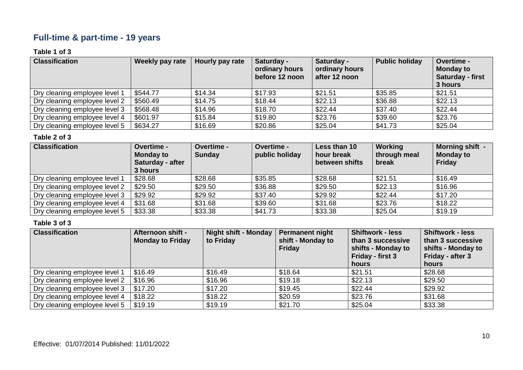### **Full-time & part-time - 19 years**

### **Table 1 of 3**

| <b>Classification</b>         | Weekly pay rate | Hourly pay rate | Saturday -<br>ordinary hours<br>before 12 noon | Saturday -<br>ordinary hours<br>after 12 noon | <b>Public holiday</b> | Overtime -<br><b>Monday to</b><br><b>Saturday - first</b><br>3 hours |
|-------------------------------|-----------------|-----------------|------------------------------------------------|-----------------------------------------------|-----------------------|----------------------------------------------------------------------|
| Dry cleaning employee level 1 | \$544.77        | \$14.34         | \$17.93                                        | \$21.51                                       | \$35.85               | \$21.51                                                              |
| Dry cleaning employee level 2 | \$560.49        | \$14.75         | \$18.44                                        | \$22.13                                       | \$36.88               | \$22.13                                                              |
| Dry cleaning employee level 3 | \$568.48        | \$14.96         | \$18.70                                        | \$22.44                                       | \$37.40               | \$22.44                                                              |
| Dry cleaning employee level 4 | \$601.97        | \$15.84         | \$19.80                                        | \$23.76                                       | \$39.60               | \$23.76                                                              |
| Dry cleaning employee level 5 | \$634.27        | \$16.69         | \$20.86                                        | \$25.04                                       | \$41.73               | \$25.04                                                              |

### **Table 2 of 3**

| <b>Classification</b>         | <b>Overtime -</b><br><b>Monday to</b><br>Saturday - after<br>3 hours | <b>Overtime -</b><br><b>Sunday</b> | Overtime -<br>public holiday | Less than 10<br>hour break<br>between shifts | Working<br>through meal<br>break | Morning shift -<br><b>Monday to</b><br>Friday |
|-------------------------------|----------------------------------------------------------------------|------------------------------------|------------------------------|----------------------------------------------|----------------------------------|-----------------------------------------------|
| Dry cleaning employee level 1 | \$28.68                                                              | \$28.68                            | \$35.85                      | \$28.68                                      | \$21.51                          | \$16.49                                       |
| Dry cleaning employee level 2 | \$29.50                                                              | \$29.50                            | \$36.88                      | \$29.50                                      | \$22.13                          | \$16.96                                       |
| Dry cleaning employee level 3 | \$29.92                                                              | \$29.92                            | \$37.40                      | \$29.92                                      | \$22.44                          | \$17.20                                       |
| Dry cleaning employee level 4 | \$31.68                                                              | \$31.68                            | \$39.60                      | \$31.68                                      | \$23.76                          | \$18.22                                       |
| Dry cleaning employee level 5 | \$33.38                                                              | \$33.38                            | \$41.73                      | \$33.38                                      | \$25.04                          | \$19.19                                       |

| <b>Classification</b>         | <b>Afternoon shift -</b><br><b>Monday to Friday</b> | <b>Night shift - Monday</b><br>to Friday | <b>Permanent night</b><br>shift - Monday to<br><b>Friday</b> | <b>Shiftwork - less</b><br>than 3 successive<br>shifts - Monday to<br>Friday - first 3<br>hours | <b>Shiftwork - less</b><br>than 3 successive<br>shifts - Monday to<br>Friday - after 3<br>hours |
|-------------------------------|-----------------------------------------------------|------------------------------------------|--------------------------------------------------------------|-------------------------------------------------------------------------------------------------|-------------------------------------------------------------------------------------------------|
| Dry cleaning employee level 1 | \$16.49                                             | \$16.49                                  | \$18.64                                                      | \$21.51                                                                                         | \$28.68                                                                                         |
| Dry cleaning employee level 2 | \$16.96                                             | \$16.96                                  | \$19.18                                                      | \$22.13                                                                                         | \$29.50                                                                                         |
| Dry cleaning employee level 3 | \$17.20                                             | \$17.20                                  | \$19.45                                                      | \$22.44                                                                                         | \$29.92                                                                                         |
| Dry cleaning employee level 4 | \$18.22                                             | \$18.22                                  | \$20.59                                                      | \$23.76                                                                                         | \$31.68                                                                                         |
| Dry cleaning employee level 5 | \$19.19                                             | \$19.19                                  | \$21.70                                                      | \$25.04                                                                                         | \$33.38                                                                                         |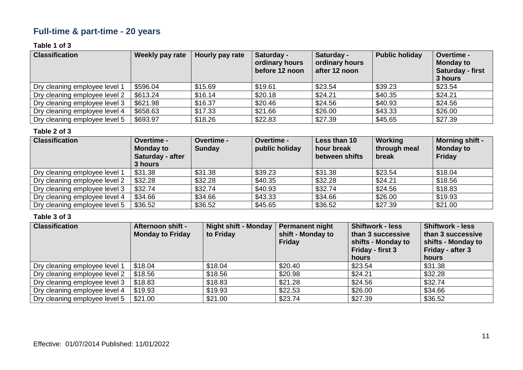# **Full-time & part-time - 20 years**

### **Table 1 of 3**

| <b>Classification</b>         | Weekly pay rate | Hourly pay rate | Saturday -<br>ordinary hours<br>before 12 noon | Saturday -<br>ordinary hours<br>after 12 noon | <b>Public holiday</b> | Overtime -<br><b>Monday to</b><br>Saturday - first<br>3 hours |
|-------------------------------|-----------------|-----------------|------------------------------------------------|-----------------------------------------------|-----------------------|---------------------------------------------------------------|
| Dry cleaning employee level 1 | \$596.04        | \$15.69         | \$19.61                                        | \$23.54                                       | \$39.23               | \$23.54                                                       |
| Dry cleaning employee level 2 | \$613.24        | \$16.14         | \$20.18                                        | \$24.21                                       | \$40.35               | \$24.21                                                       |
| Dry cleaning employee level 3 | \$621.98        | \$16.37         | \$20.46                                        | \$24.56                                       | \$40.93               | \$24.56                                                       |
| Dry cleaning employee level 4 | \$658.63        | \$17.33         | \$21.66                                        | \$26.00                                       | \$43.33               | \$26.00                                                       |
| Dry cleaning employee level 5 | \$693.97        | \$18.26         | \$22.83                                        | \$27.39                                       | \$45.65               | \$27.39                                                       |

#### **Table 2 of 3**

| <b>Classification</b>         | <b>Overtime -</b><br><b>Monday to</b><br>Saturday - after<br>3 hours | Overtime -<br><b>Sunday</b> | Overtime -<br>public holiday | Less than 10<br>hour break<br>between shifts | Working<br>through meal<br>break | <b>Morning shift -</b><br><b>Monday to</b><br>Friday |
|-------------------------------|----------------------------------------------------------------------|-----------------------------|------------------------------|----------------------------------------------|----------------------------------|------------------------------------------------------|
| Dry cleaning employee level 1 | \$31.38                                                              | \$31.38                     | \$39.23                      | \$31.38                                      | \$23.54                          | \$18.04                                              |
| Dry cleaning employee level 2 | \$32.28                                                              | \$32.28                     | \$40.35                      | \$32.28                                      | \$24.21                          | \$18.56                                              |
| Dry cleaning employee level 3 | \$32.74                                                              | \$32.74                     | \$40.93                      | \$32.74                                      | \$24.56                          | \$18.83                                              |
| Dry cleaning employee level 4 | \$34.66                                                              | \$34.66                     | \$43.33                      | \$34.66                                      | \$26.00                          | \$19.93                                              |
| Dry cleaning employee level 5 | \$36.52                                                              | \$36.52                     | \$45.65                      | \$36.52                                      | \$27.39                          | \$21.00                                              |

| <b>Classification</b>         | <b>Afternoon shift -</b><br><b>Monday to Friday</b> | <b>Night shift - Monday</b><br>to Friday | Permanent night<br>shift - Monday to<br><b>Friday</b> | <b>Shiftwork - less</b><br>than 3 successive<br>shifts - Monday to<br>Friday - first 3<br>hours | <b>Shiftwork - less</b><br>than 3 successive<br>shifts - Monday to<br>Friday - after 3<br>hours |
|-------------------------------|-----------------------------------------------------|------------------------------------------|-------------------------------------------------------|-------------------------------------------------------------------------------------------------|-------------------------------------------------------------------------------------------------|
| Dry cleaning employee level 1 | \$18.04                                             | \$18.04                                  | \$20.40                                               | \$23.54                                                                                         | \$31.38                                                                                         |
| Dry cleaning employee level 2 | \$18.56                                             | \$18.56                                  | \$20.98                                               | \$24.21                                                                                         | \$32.28                                                                                         |
| Dry cleaning employee level 3 | \$18.83                                             | \$18.83                                  | \$21.28                                               | \$24.56                                                                                         | \$32.74                                                                                         |
| Dry cleaning employee level 4 | \$19.93                                             | \$19.93                                  | \$22.53                                               | \$26.00                                                                                         | \$34.66                                                                                         |
| Dry cleaning employee level 5 | \$21.00                                             | \$21.00                                  | \$23.74                                               | \$27.39                                                                                         | \$36.52                                                                                         |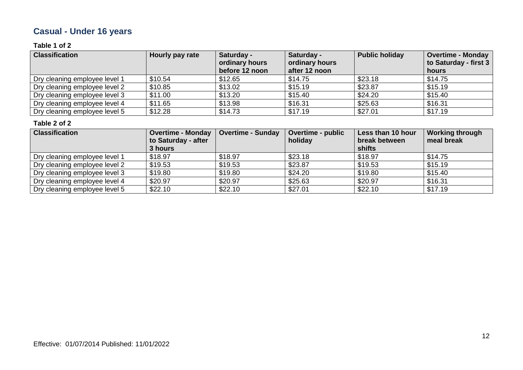# **Casual - Under 16 years**

### **Table 1 of 2**

| <b>Classification</b>         | Hourly pay rate | Saturday -<br>ordinary hours<br>before 12 noon | Saturday -<br>ordinary hours<br>after 12 noon | <b>Public holiday</b> | <b>Overtime - Monday</b><br>to Saturday - first 3<br>hours |
|-------------------------------|-----------------|------------------------------------------------|-----------------------------------------------|-----------------------|------------------------------------------------------------|
| Dry cleaning employee level 1 | \$10.54         | \$12.65                                        | \$14.75                                       | \$23.18               | \$14.75                                                    |
| Dry cleaning employee level 2 | \$10.85         | \$13.02                                        | \$15.19                                       | \$23.87               | \$15.19                                                    |
| Dry cleaning employee level 3 | \$11.00         | \$13.20                                        | \$15.40                                       | \$24.20               | \$15.40                                                    |
| Dry cleaning employee level 4 | \$11.65         | \$13.98                                        | \$16.31                                       | \$25.63               | \$16.31                                                    |
| Dry cleaning employee level 5 | \$12.28         | \$14.73                                        | \$17.19                                       | \$27.01               | \$17.19                                                    |

| <b>Classification</b>         | <b>Overtime - Monday</b> | <b>Overtime - Sunday</b> | Overtime - public | Less than 10 hour | <b>Working through</b> |
|-------------------------------|--------------------------|--------------------------|-------------------|-------------------|------------------------|
|                               | to Saturday - after      |                          | holiday           | break between     | meal break             |
|                               | 3 hours                  |                          |                   | shifts            |                        |
| Dry cleaning employee level 1 | \$18.97                  | \$18.97                  | \$23.18           | \$18.97           | \$14.75                |
| Dry cleaning employee level 2 | \$19.53                  | \$19.53                  | \$23.87           | \$19.53           | \$15.19                |
| Dry cleaning employee level 3 | \$19.80                  | \$19.80                  | \$24.20           | \$19.80           | \$15.40                |
| Dry cleaning employee level 4 | \$20.97                  | \$20.97                  | \$25.63           | \$20.97           | \$16.31                |
| Dry cleaning employee level 5 | \$22.10                  | \$22.10                  | \$27.01           | \$22.10           | \$17.19                |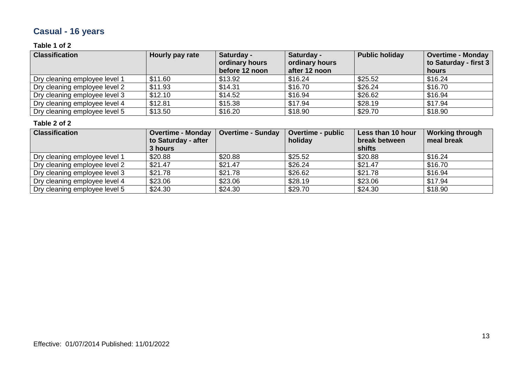# **Casual - 16 years**

### **Table 1 of 2**

| <b>Classification</b>         | Hourly pay rate | Saturday -<br>ordinary hours<br>before 12 noon | Saturday -<br>ordinary hours<br>after 12 noon | <b>Public holiday</b> | <b>Overtime - Monday</b><br>to Saturday - first 3<br>hours |
|-------------------------------|-----------------|------------------------------------------------|-----------------------------------------------|-----------------------|------------------------------------------------------------|
| Dry cleaning employee level 1 | \$11.60         | \$13.92                                        | \$16.24                                       | \$25.52               | \$16.24                                                    |
| Dry cleaning employee level 2 | \$11.93         | \$14.31                                        | \$16.70                                       | \$26.24               | \$16.70                                                    |
| Dry cleaning employee level 3 | \$12.10         | \$14.52                                        | \$16.94                                       | \$26.62               | \$16.94                                                    |
| Dry cleaning employee level 4 | \$12.81         | \$15.38                                        | \$17.94                                       | \$28.19               | \$17.94                                                    |
| Dry cleaning employee level 5 | \$13.50         | \$16.20                                        | \$18.90                                       | \$29.70               | \$18.90                                                    |

| <b>Classification</b>         | <b>Overtime - Monday</b> | <b>Overtime - Sunday</b> | <b>Overtime - public</b> | Less than 10 hour | <b>Working through</b> |
|-------------------------------|--------------------------|--------------------------|--------------------------|-------------------|------------------------|
|                               | to Saturday - after      |                          | holiday                  | break between     | meal break             |
|                               | 3 hours                  |                          |                          | shifts            |                        |
| Dry cleaning employee level 1 | \$20.88                  | \$20.88                  | \$25.52                  | \$20.88           | \$16.24                |
| Dry cleaning employee level 2 | \$21.47                  | \$21.47                  | \$26.24                  | \$21.47           | \$16.70                |
| Dry cleaning employee level 3 | \$21.78                  | \$21.78                  | \$26.62                  | \$21.78           | \$16.94                |
| Dry cleaning employee level 4 | \$23.06                  | \$23.06                  | \$28.19                  | \$23.06           | \$17.94                |
| Dry cleaning employee level 5 | \$24.30                  | \$24.30                  | \$29.70                  | \$24.30           | \$18.90                |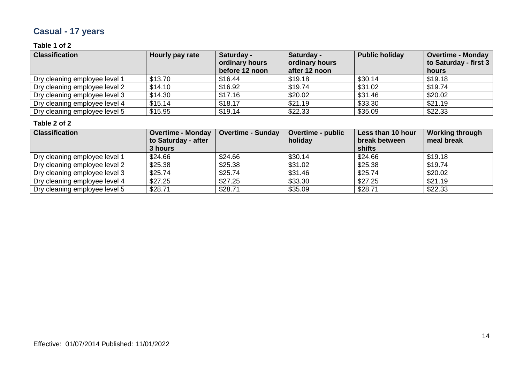# **Casual - 17 years**

### **Table 1 of 2**

| <b>Classification</b>         | Hourly pay rate | Saturday -<br>ordinary hours<br>before 12 noon | Saturday -<br>ordinary hours<br>after 12 noon | <b>Public holiday</b> | <b>Overtime - Monday</b><br>to Saturday - first 3<br>hours |
|-------------------------------|-----------------|------------------------------------------------|-----------------------------------------------|-----------------------|------------------------------------------------------------|
| Dry cleaning employee level 1 | \$13.70         | \$16.44                                        | \$19.18                                       | \$30.14               | \$19.18                                                    |
| Dry cleaning employee level 2 | \$14.10         | \$16.92                                        | \$19.74                                       | \$31.02               | \$19.74                                                    |
| Dry cleaning employee level 3 | \$14.30         | \$17.16                                        | \$20.02                                       | \$31.46               | \$20.02                                                    |
| Dry cleaning employee level 4 | \$15.14         | \$18.17                                        | \$21.19                                       | \$33.30               | \$21.19                                                    |
| Dry cleaning employee level 5 | \$15.95         | \$19.14                                        | \$22.33                                       | \$35.09               | \$22.33                                                    |

| <b>Classification</b>         | <b>Overtime - Monday</b> | <b>Overtime - Sunday</b> | <b>Overtime - public</b> | Less than 10 hour | <b>Working through</b> |
|-------------------------------|--------------------------|--------------------------|--------------------------|-------------------|------------------------|
|                               | to Saturday - after      |                          | holiday                  | break between     | meal break             |
|                               | 3 hours                  |                          |                          | shifts            |                        |
| Dry cleaning employee level 1 | \$24.66                  | \$24.66                  | \$30.14                  | \$24.66           | \$19.18                |
| Dry cleaning employee level 2 | \$25.38                  | \$25.38                  | \$31.02                  | \$25.38           | \$19.74                |
| Dry cleaning employee level 3 | \$25.74                  | \$25.74                  | \$31.46                  | \$25.74           | \$20.02                |
| Dry cleaning employee level 4 | \$27.25                  | \$27.25                  | \$33.30                  | \$27.25           | \$21.19                |
| Dry cleaning employee level 5 | \$28.71                  | \$28.71                  | \$35.09                  | \$28.71           | \$22.33                |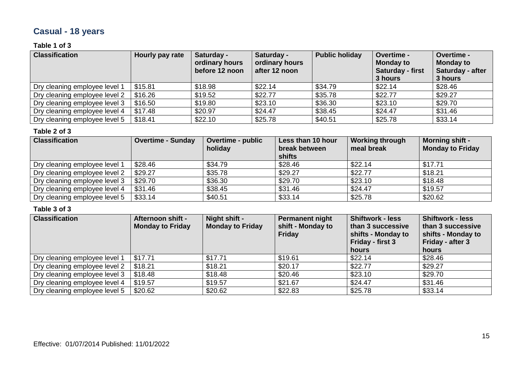# **Casual - 18 years**

### **Table 1 of 3**

| <b>Classification</b>         | Hourly pay rate | Saturday -<br>ordinary hours<br>before 12 noon | Saturday -<br>ordinary hours<br>after 12 noon | <b>Public holiday</b> | Overtime -<br><b>Monday to</b><br><b>Saturday - first</b><br>3 hours | Overtime -<br><b>Monday to</b><br>Saturday - after<br>3 hours |
|-------------------------------|-----------------|------------------------------------------------|-----------------------------------------------|-----------------------|----------------------------------------------------------------------|---------------------------------------------------------------|
| Dry cleaning employee level 1 | \$15.81         | \$18.98                                        | \$22.14                                       | \$34.79               | \$22.14                                                              | \$28.46                                                       |
| Dry cleaning employee level 2 | \$16.26         | \$19.52                                        | \$22.77                                       | \$35.78               | \$22.77                                                              | \$29.27                                                       |
| Dry cleaning employee level 3 | \$16.50         | \$19.80                                        | \$23.10                                       | \$36.30               | \$23.10                                                              | \$29.70                                                       |
| Dry cleaning employee level 4 | \$17.48         | \$20.97                                        | \$24.47                                       | \$38.45               | \$24.47                                                              | \$31.46                                                       |
| Dry cleaning employee level 5 | \$18.41         | \$22.10                                        | \$25.78                                       | \$40.51               | \$25.78                                                              | \$33.14                                                       |

#### **Table 2 of 3**

| <b>Classification</b>         | <b>Overtime - Sunday</b> | <b>Overtime - public</b><br>holiday | Less than 10 hour<br>break between<br>shifts | <b>Working through</b><br>meal break | <b>Morning shift -</b><br><b>Monday to Friday</b> |
|-------------------------------|--------------------------|-------------------------------------|----------------------------------------------|--------------------------------------|---------------------------------------------------|
| Dry cleaning employee level 1 | \$28.46                  | \$34.79                             | \$28.46                                      | \$22.14                              | \$17.71                                           |
| Dry cleaning employee level 2 | \$29.27                  | \$35.78                             | \$29.27                                      | \$22.77                              | \$18.21                                           |
| Dry cleaning employee level 3 | \$29.70                  | \$36.30                             | \$29.70                                      | \$23.10                              | \$18.48                                           |
| Dry cleaning employee level 4 | \$31.46                  | \$38.45                             | \$31.46                                      | \$24.47                              | \$19.57                                           |
| Dry cleaning employee level 5 | \$33.14                  | \$40.51                             | \$33.14                                      | \$25.78                              | \$20.62                                           |

| <b>Classification</b>         | Afternoon shift -<br><b>Monday to Friday</b> | Night shift -<br><b>Monday to Friday</b> | Permanent night<br>shift - Monday to<br><b>Friday</b> | <b>Shiftwork - less</b><br>than 3 successive<br>shifts - Monday to<br>Friday - first 3<br>hours | <b>Shiftwork - less</b><br>than 3 successive<br>shifts - Monday to<br>Friday - after 3<br>hours |
|-------------------------------|----------------------------------------------|------------------------------------------|-------------------------------------------------------|-------------------------------------------------------------------------------------------------|-------------------------------------------------------------------------------------------------|
| Dry cleaning employee level 1 | \$17.71                                      | \$17.71                                  | \$19.61                                               | \$22.14                                                                                         | \$28.46                                                                                         |
| Dry cleaning employee level 2 | \$18.21                                      | \$18.21                                  | \$20.17                                               | \$22.77                                                                                         | \$29.27                                                                                         |
| Dry cleaning employee level 3 | \$18.48                                      | \$18.48                                  | \$20.46                                               | \$23.10                                                                                         | \$29.70                                                                                         |
| Dry cleaning employee level 4 | \$19.57                                      | \$19.57                                  | \$21.67                                               | \$24.47                                                                                         | \$31.46                                                                                         |
| Dry cleaning employee level 5 | \$20.62                                      | \$20.62                                  | \$22.83                                               | \$25.78                                                                                         | \$33.14                                                                                         |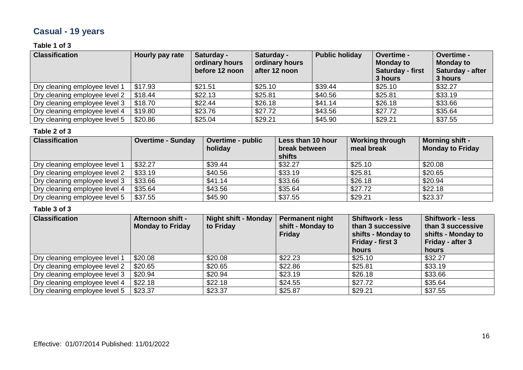# **Casual - 19 years**

### **Table 1 of 3**

| <b>Classification</b>         | Hourly pay rate | Saturday -<br>ordinary hours<br>before 12 noon | Saturday -<br>ordinary hours<br>after 12 noon | <b>Public holiday</b> | <b>Overtime -</b><br><b>Monday to</b><br>Saturday - first<br>3 hours | Overtime -<br><b>Monday to</b><br>Saturday - after<br>3 hours |
|-------------------------------|-----------------|------------------------------------------------|-----------------------------------------------|-----------------------|----------------------------------------------------------------------|---------------------------------------------------------------|
| Dry cleaning employee level 1 | \$17.93         | \$21.51                                        | \$25.10                                       | \$39.44               | \$25.10                                                              | \$32.27                                                       |
| Dry cleaning employee level 2 | \$18.44         | \$22.13                                        | \$25.81                                       | \$40.56               | \$25.81                                                              | \$33.19                                                       |
| Dry cleaning employee level 3 | \$18.70         | \$22.44                                        | \$26.18                                       | \$41.14               | \$26.18                                                              | \$33.66                                                       |
| Dry cleaning employee level 4 | \$19.80         | \$23.76                                        | \$27.72                                       | \$43.56               | \$27.72                                                              | \$35.64                                                       |
| Dry cleaning employee level 5 | \$20.86         | \$25.04                                        | \$29.21                                       | \$45.90               | \$29.21                                                              | \$37.55                                                       |

#### **Table 2 of 3**

| <b>Classification</b>         | <b>Overtime - Sunday</b> | <b>Overtime - public</b><br>holiday | Less than 10 hour<br>break between<br>shifts | <b>Working through</b><br>meal break | <b>Morning shift -</b><br><b>Monday to Friday</b> |
|-------------------------------|--------------------------|-------------------------------------|----------------------------------------------|--------------------------------------|---------------------------------------------------|
| Dry cleaning employee level 1 | \$32.27                  | \$39.44                             | \$32.27                                      | \$25.10                              | \$20.08                                           |
| Dry cleaning employee level 2 | \$33.19                  | \$40.56                             | \$33.19                                      | \$25.81                              | \$20.65                                           |
| Dry cleaning employee level 3 | \$33.66                  | \$41.14                             | \$33.66                                      | \$26.18                              | \$20.94                                           |
| Dry cleaning employee level 4 | \$35.64                  | \$43.56                             | \$35.64                                      | \$27.72                              | \$22.18                                           |
| Dry cleaning employee level 5 | \$37.55                  | \$45.90                             | \$37.55                                      | \$29.21                              | \$23.37                                           |

| <b>Classification</b>         | <b>Afternoon shift -</b><br><b>Monday to Friday</b> | <b>Night shift - Monday</b><br>to Friday | <b>Permanent night</b><br>shift - Monday to<br><b>Friday</b> | <b>Shiftwork - less</b><br>than 3 successive<br>shifts - Monday to<br>Friday - first 3<br>hours | <b>Shiftwork - less</b><br>than 3 successive<br>shifts - Monday to<br>Friday - after 3<br>hours |
|-------------------------------|-----------------------------------------------------|------------------------------------------|--------------------------------------------------------------|-------------------------------------------------------------------------------------------------|-------------------------------------------------------------------------------------------------|
| Dry cleaning employee level 1 | \$20.08                                             | \$20.08                                  | \$22.23                                                      | \$25.10                                                                                         | \$32.27                                                                                         |
| Dry cleaning employee level 2 | \$20.65                                             | \$20.65                                  | \$22.86                                                      | \$25.81                                                                                         | \$33.19                                                                                         |
| Dry cleaning employee level 3 | \$20.94                                             | \$20.94                                  | \$23.19                                                      | \$26.18                                                                                         | \$33.66                                                                                         |
| Dry cleaning employee level 4 | \$22.18                                             | \$22.18                                  | \$24.55                                                      | \$27.72                                                                                         | \$35.64                                                                                         |
| Dry cleaning employee level 5 | \$23.37                                             | \$23.37                                  | \$25.87                                                      | \$29.21                                                                                         | \$37.55                                                                                         |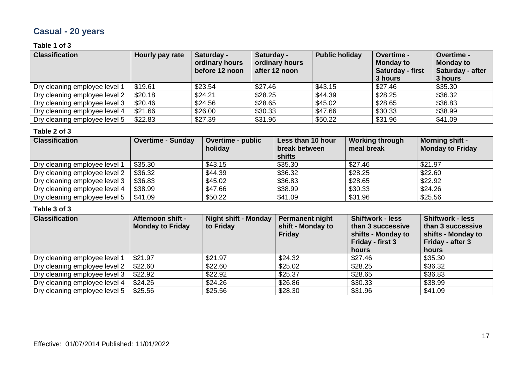# **Casual - 20 years**

### **Table 1 of 3**

| <b>Classification</b>         | Hourly pay rate | Saturday -<br>ordinary hours<br>before 12 noon | Saturday -<br>ordinary hours<br>after 12 noon | <b>Public holiday</b> | Overtime -<br><b>Monday to</b><br><b>Saturday - first</b><br>3 hours | Overtime -<br><b>Monday to</b><br>Saturday - after<br>3 hours |
|-------------------------------|-----------------|------------------------------------------------|-----------------------------------------------|-----------------------|----------------------------------------------------------------------|---------------------------------------------------------------|
| Dry cleaning employee level 1 | \$19.61         | \$23.54                                        | \$27.46                                       | \$43.15               | \$27.46                                                              | \$35.30                                                       |
| Dry cleaning employee level 2 | \$20.18         | \$24.21                                        | \$28.25                                       | \$44.39               | \$28.25                                                              | \$36.32                                                       |
| Dry cleaning employee level 3 | \$20.46         | \$24.56                                        | \$28.65                                       | \$45.02               | \$28.65                                                              | \$36.83                                                       |
| Dry cleaning employee level 4 | \$21.66         | \$26.00                                        | \$30.33                                       | \$47.66               | \$30.33                                                              | \$38.99                                                       |
| Dry cleaning employee level 5 | \$22.83         | \$27.39                                        | \$31.96                                       | \$50.22               | \$31.96                                                              | \$41.09                                                       |

#### **Table 2 of 3**

| <b>Classification</b>         | <b>Overtime - Sunday</b> | <b>Overtime - public</b><br>holiday | Less than 10 hour<br>break between<br>shifts | <b>Working through</b><br>meal break | <b>Morning shift -</b><br><b>Monday to Friday</b> |
|-------------------------------|--------------------------|-------------------------------------|----------------------------------------------|--------------------------------------|---------------------------------------------------|
| Dry cleaning employee level 1 | \$35.30                  | \$43.15                             | \$35.30                                      | \$27.46                              | \$21.97                                           |
| Dry cleaning employee level 2 | \$36.32                  | \$44.39                             | \$36.32                                      | \$28.25                              | \$22.60                                           |
| Dry cleaning employee level 3 | \$36.83                  | \$45.02                             | \$36.83                                      | \$28.65                              | \$22.92                                           |
| Dry cleaning employee level 4 | \$38.99                  | \$47.66                             | \$38.99                                      | \$30.33                              | \$24.26                                           |
| Dry cleaning employee level 5 | \$41.09                  | \$50.22                             | \$41.09                                      | \$31.96                              | \$25.56                                           |

| <b>Classification</b>         | <b>Afternoon shift -</b><br><b>Monday to Friday</b> | Night shift - Monday<br>to Friday | Permanent night<br>shift - Monday to<br><b>Friday</b> | <b>Shiftwork - less</b><br>than 3 successive<br>shifts - Monday to<br>Friday - first 3<br>hours | <b>Shiftwork - less</b><br>than 3 successive<br>shifts - Monday to<br>Friday - after 3<br>hours |
|-------------------------------|-----------------------------------------------------|-----------------------------------|-------------------------------------------------------|-------------------------------------------------------------------------------------------------|-------------------------------------------------------------------------------------------------|
| Dry cleaning employee level 1 | \$21.97                                             | \$21.97                           | \$24.32                                               | \$27.46                                                                                         | \$35.30                                                                                         |
| Dry cleaning employee level 2 | \$22.60                                             | \$22.60                           | \$25.02                                               | \$28.25                                                                                         | \$36.32                                                                                         |
| Dry cleaning employee level 3 | \$22.92                                             | \$22.92                           | \$25.37                                               | \$28.65                                                                                         | \$36.83                                                                                         |
| Dry cleaning employee level 4 | \$24.26                                             | \$24.26                           | \$26.86                                               | \$30.33                                                                                         | \$38.99                                                                                         |
| Dry cleaning employee level 5 | \$25.56                                             | \$25.56                           | \$28.30                                               | \$31.96                                                                                         | \$41.09                                                                                         |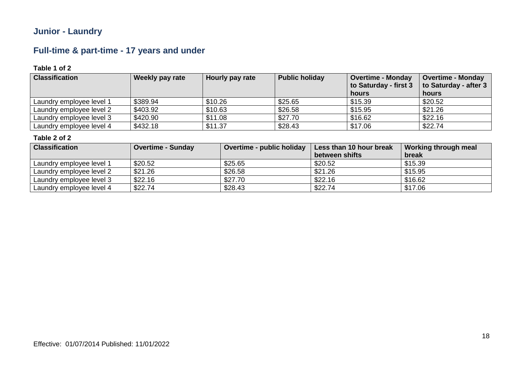### **Junior - Laundry**

### **Full-time & part-time - 17 years and under**

### **Table 1 of 2**

| <b>Classification</b>    | <b>Weekly pay rate</b> | Hourly pay rate | <b>Public holiday</b> | <b>Overtime - Monday</b><br>to Saturday - first 3<br>hours | <b>Overtime - Monday</b><br>to Saturday - after 3<br>hours |
|--------------------------|------------------------|-----------------|-----------------------|------------------------------------------------------------|------------------------------------------------------------|
| Laundry employee level 1 | \$389.94               | \$10.26         | \$25.65               | \$15.39                                                    | \$20.52                                                    |
| Laundry employee level 2 | \$403.92               | \$10.63         | \$26.58               | \$15.95                                                    | \$21.26                                                    |
| Laundry employee level 3 | \$420.90               | \$11.08         | \$27.70               | \$16.62                                                    | \$22.16                                                    |
| Laundry employee level 4 | \$432.18               | \$11.37         | \$28.43               | \$17.06                                                    | \$22.74                                                    |

| <b>Classification</b>    | Overtime - Sunday | Overtime - public holiday | Less than 10 hour break<br>between shifts | Working through meal<br>break |
|--------------------------|-------------------|---------------------------|-------------------------------------------|-------------------------------|
| Laundry employee level 1 | \$20.52           | \$25.65                   | \$20.52                                   | \$15.39                       |
| Laundry employee level 2 | \$21.26           | \$26.58                   | \$21.26                                   | \$15.95                       |
| Laundry employee level 3 | \$22.16           | \$27.70                   | \$22.16                                   | \$16.62                       |
| Laundry employee level 4 | \$22.74           | \$28.43                   | \$22.74                                   | \$17.06                       |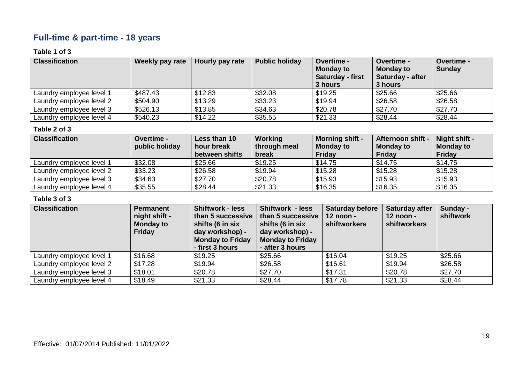### **Full-time & part-time - 18 years**

### **Table 1 of 3**

| <b>Classification</b>    | <b>Weekly pay rate</b> | Hourly pay rate | <b>Public holiday</b> | <b>Overtime -</b><br><b>Monday to</b><br><b>Saturday - first</b><br>3 hours | <b>Overtime -</b><br><b>Monday to</b><br>Saturday - after<br>3 hours | Overtime -<br><b>Sunday</b> |
|--------------------------|------------------------|-----------------|-----------------------|-----------------------------------------------------------------------------|----------------------------------------------------------------------|-----------------------------|
| Laundry employee level 1 | \$487.43               | \$12.83         | \$32.08               | \$19.25                                                                     | \$25.66                                                              | \$25.66                     |
| Laundry employee level 2 | \$504.90               | \$13.29         | \$33.23               | \$19.94                                                                     | \$26.58                                                              | \$26.58                     |
| Laundry employee level 3 | \$526.13               | \$13.85         | \$34.63               | \$20.78                                                                     | \$27.70                                                              | \$27.70                     |
| Laundry employee level 4 | \$540.23               | \$14.22         | \$35.55               | \$21.33                                                                     | \$28.44                                                              | \$28.44                     |

### **Table 2 of 3**

| <b>Classification</b>    | <b>Overtime -</b> | Less than 10   | Working      | <b>Morning shift -</b> | <b>Afternoon shift -</b> | Night shift -    |
|--------------------------|-------------------|----------------|--------------|------------------------|--------------------------|------------------|
|                          | public holiday    | hour break     | through meal | <b>Monday to</b>       | <b>Monday to</b>         | <b>Monday to</b> |
|                          |                   | between shifts | break        | <b>Friday</b>          | <b>Friday</b>            | <b>Friday</b>    |
| Laundry employee level 1 | \$32.08           | \$25.66        | \$19.25      | \$14.75                | \$14.75                  | \$14.75          |
| Laundry employee level 2 | \$33.23           | \$26.58        | \$19.94      | \$15.28                | \$15.28                  | \$15.28          |
| Laundry employee level 3 | \$34.63           | \$27.70        | \$20.78      | \$15.93                | \$15.93                  | \$15.93          |
| Laundry employee level 4 | \$35.55           | \$28.44        | \$21.33      | \$16.35                | \$16.35                  | \$16.35          |

| <b>Classification</b>    | <b>Permanent</b><br>night shift -<br><b>Monday to</b><br><b>Friday</b> | <b>Shiftwork - less</b><br>than 5 successive<br>shifts (6 in six<br>day workshop) -<br><b>Monday to Friday</b><br>- first 3 hours | Shiftwork - less<br>than 5 successive<br>shifts (6 in six<br>day workshop) -<br><b>Monday to Friday</b><br>- after 3 hours | <b>Saturday before</b><br>$12$ noon -<br>shiftworkers | <b>Saturday after</b><br>12 noon -<br>shiftworkers | Sunday -<br>shiftwork |
|--------------------------|------------------------------------------------------------------------|-----------------------------------------------------------------------------------------------------------------------------------|----------------------------------------------------------------------------------------------------------------------------|-------------------------------------------------------|----------------------------------------------------|-----------------------|
| Laundry employee level 1 | \$16.68                                                                | \$19.25                                                                                                                           | \$25.66                                                                                                                    | \$16.04                                               | \$19.25                                            | \$25.66               |
| Laundry employee level 2 | \$17.28                                                                | \$19.94                                                                                                                           | \$26.58                                                                                                                    | \$16.61                                               | \$19.94                                            | \$26.58               |
| Laundry employee level 3 | \$18.01                                                                | \$20.78                                                                                                                           | \$27.70                                                                                                                    | \$17.31                                               | \$20.78                                            | \$27.70               |
| Laundry employee level 4 | \$18.49                                                                | \$21.33                                                                                                                           | \$28.44                                                                                                                    | \$17.78                                               | \$21.33                                            | \$28.44               |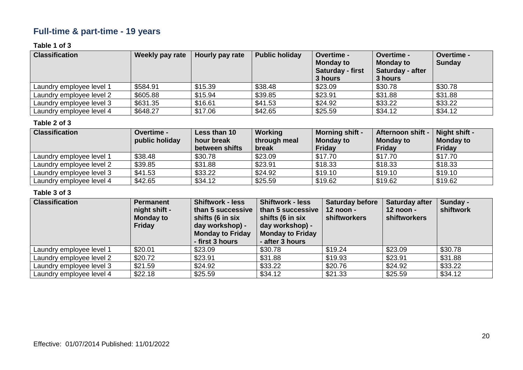### **Full-time & part-time - 19 years**

### **Table 1 of 3**

| <b>Classification</b>    | Weekly pay rate | Hourly pay rate | <b>Public holiday</b> | <b>Overtime -</b><br><b>Monday to</b><br><b>Saturday - first</b><br>3 hours | <b>Overtime -</b><br><b>Monday to</b><br>Saturday - after<br>3 hours | Overtime -<br><b>Sunday</b> |
|--------------------------|-----------------|-----------------|-----------------------|-----------------------------------------------------------------------------|----------------------------------------------------------------------|-----------------------------|
| Laundry employee level 1 | \$584.91        | \$15.39         | \$38.48               | \$23.09                                                                     | \$30.78                                                              | \$30.78                     |
| Laundry employee level 2 | \$605.88        | \$15.94         | \$39.85               | \$23.91                                                                     | \$31.88                                                              | \$31.88                     |
| Laundry employee level 3 | \$631.35        | \$16.61         | \$41.53               | \$24.92                                                                     | \$33.22                                                              | \$33.22                     |
| Laundry employee level 4 | \$648.27        | \$17.06         | \$42.65               | \$25.59                                                                     | \$34.12                                                              | \$34.12                     |

#### **Table 2 of 3**

| <b>Classification</b>    | <b>Overtime -</b><br>public holiday | Less than 10<br>hour break<br>between shifts | Working<br>through meal<br>break | <b>Morning shift -</b><br><b>Monday to</b><br><b>Friday</b> | Afternoon shift -<br>Monday to<br>Friday | Night shift -<br><b>Monday to</b><br><b>Friday</b> |
|--------------------------|-------------------------------------|----------------------------------------------|----------------------------------|-------------------------------------------------------------|------------------------------------------|----------------------------------------------------|
| Laundry employee level 1 | \$38.48                             | \$30.78                                      | \$23.09                          | \$17.70                                                     | \$17.70                                  | \$17.70                                            |
| Laundry employee level 2 | \$39.85                             | \$31.88                                      | \$23.91                          | \$18.33                                                     | \$18.33                                  | \$18.33                                            |
| Laundry employee level 3 | \$41.53                             | \$33.22                                      | \$24.92                          | \$19.10                                                     | \$19.10                                  | \$19.10                                            |
| Laundry employee level 4 | \$42.65                             | \$34.12                                      | \$25.59                          | \$19.62                                                     | \$19.62                                  | \$19.62                                            |

| <b>Classification</b>    | <b>Permanent</b><br>night shift -<br><b>Monday to</b><br><b>Friday</b> | <b>Shiftwork - less</b><br>than 5 successive<br>shifts (6 in six<br>day workshop) -<br><b>Monday to Friday</b><br>- first 3 hours | <b>Shiftwork - less</b><br>than 5 successive<br>shifts (6 in six<br>day workshop) -<br><b>Monday to Friday</b><br>- after 3 hours | <b>Saturday before</b><br>12 noon -<br>shiftworkers | <b>Saturday after</b><br>12 noon -<br><b>shiftworkers</b> | Sunday -<br>shiftwork |
|--------------------------|------------------------------------------------------------------------|-----------------------------------------------------------------------------------------------------------------------------------|-----------------------------------------------------------------------------------------------------------------------------------|-----------------------------------------------------|-----------------------------------------------------------|-----------------------|
| Laundry employee level 1 | \$20.01                                                                | \$23.09                                                                                                                           | \$30.78                                                                                                                           | \$19.24                                             | \$23.09                                                   | \$30.78               |
| Laundry employee level 2 | \$20.72                                                                | \$23.91                                                                                                                           | \$31.88                                                                                                                           | \$19.93                                             | \$23.91                                                   | \$31.88               |
| Laundry employee level 3 | \$21.59                                                                | \$24.92                                                                                                                           | \$33.22                                                                                                                           | \$20.76                                             | \$24.92                                                   | \$33.22               |
| Laundry employee level 4 | \$22.18                                                                | \$25.59                                                                                                                           | \$34.12                                                                                                                           | \$21.33                                             | \$25.59                                                   | \$34.12               |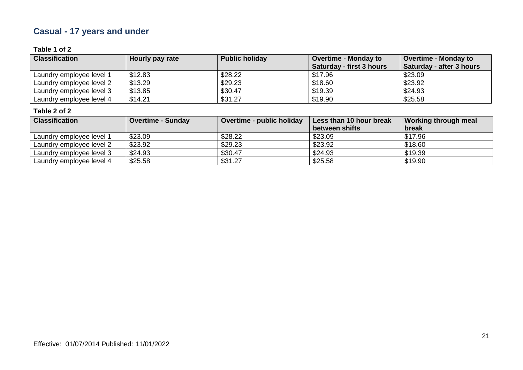# **Casual - 17 years and under**

### **Table 1 of 2**

| <b>Classification</b>    | Hourly pay rate | <b>Public holiday</b> | <b>Overtime - Monday to</b><br><b>Saturday - first 3 hours</b> | <b>Overtime - Monday to</b><br>Saturday - after 3 hours |
|--------------------------|-----------------|-----------------------|----------------------------------------------------------------|---------------------------------------------------------|
| Laundry employee level 1 | \$12.83         | \$28.22               | \$17.96                                                        | \$23.09                                                 |
| Laundry employee level 2 | \$13.29         | \$29.23               | \$18.60                                                        | \$23.92                                                 |
| Laundry employee level 3 | \$13.85         | \$30.47               | \$19.39                                                        | \$24.93                                                 |
| Laundry employee level 4 | \$14.21         | \$31.27               | \$19.90                                                        | \$25.58                                                 |

| <b>Classification</b>    | <b>Overtime - Sunday</b> | Overtime - public holiday | Less than 10 hour break | Working through meal |
|--------------------------|--------------------------|---------------------------|-------------------------|----------------------|
|                          |                          |                           | between shifts          | break                |
| Laundry employee level 1 | \$23.09                  | \$28.22                   | \$23.09                 | \$17.96              |
| Laundry employee level 2 | \$23.92                  | \$29.23                   | \$23.92                 | \$18.60              |
| Laundry employee level 3 | \$24.93                  | \$30.47                   | \$24.93                 | \$19.39              |
| Laundry employee level 4 | \$25.58                  | \$31.27                   | \$25.58                 | \$19.90              |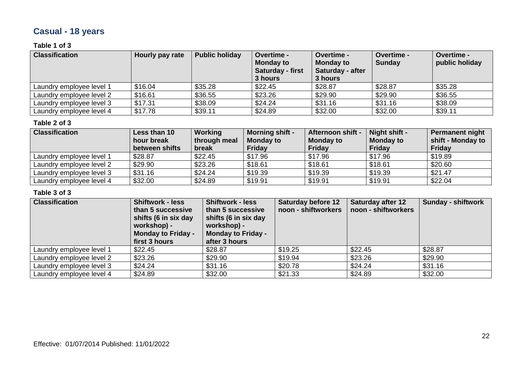# **Casual - 18 years**

### **Table 1 of 3**

| <b>Classification</b>    | Hourly pay rate | <b>Public holiday</b> | <b>Overtime -</b><br><b>Monday to</b><br>Saturday - first<br>3 hours | Overtime -<br><b>Monday to</b><br>Saturday - after<br>3 hours | Overtime -<br><b>Sunday</b> | Overtime -<br>public holiday |
|--------------------------|-----------------|-----------------------|----------------------------------------------------------------------|---------------------------------------------------------------|-----------------------------|------------------------------|
| Laundry employee level 1 | \$16.04         | \$35.28               | \$22.45                                                              | \$28.87                                                       | \$28.87                     | \$35.28                      |
| Laundry employee level 2 | \$16.61         | \$36.55               | \$23.26                                                              | \$29.90                                                       | \$29.90                     | \$36.55                      |
| Laundry employee level 3 | \$17.31         | \$38.09               | \$24.24                                                              | \$31.16                                                       | \$31.16                     | \$38.09                      |
| Laundry employee level 4 | \$17.78         | \$39.11               | \$24.89                                                              | \$32.00                                                       | \$32.00                     | \$39.11                      |

#### **Table 2 of 3**

| <b>Classification</b>    | Less than 10<br>hour break<br>between shifts | Working<br>through meal<br>break | <b>Morning shift -</b><br><b>Monday to</b><br>Friday | <b>Afternoon shift -</b><br><b>Monday to</b><br><b>Friday</b> | Night shift -<br><b>Monday to</b><br><b>Friday</b> | <b>Permanent night</b><br>shift - Monday to<br><b>Friday</b> |
|--------------------------|----------------------------------------------|----------------------------------|------------------------------------------------------|---------------------------------------------------------------|----------------------------------------------------|--------------------------------------------------------------|
| Laundry employee level 1 | \$28.87                                      | \$22.45                          | \$17.96                                              | \$17.96                                                       | \$17.96                                            | \$19.89                                                      |
| Laundry employee level 2 | \$29.90                                      | \$23.26                          | \$18.61                                              | \$18.61                                                       | \$18.61                                            | \$20.60                                                      |
| Laundry employee level 3 | \$31.16                                      | \$24.24                          | \$19.39                                              | \$19.39                                                       | \$19.39                                            | \$21.47                                                      |
| Laundry employee level 4 | \$32.00                                      | \$24.89                          | \$19.91                                              | \$19.91                                                       | \$19.91                                            | \$22.04                                                      |

| <b>Classification</b>    | <b>Shiftwork - less</b><br>than 5 successive<br>shifts (6 in six day<br>workshop) -<br><b>Monday to Friday -</b><br>first 3 hours | <b>Shiftwork - less</b><br>than 5 successive<br>shifts (6 in six day<br>workshop) -<br><b>Monday to Friday -</b><br>after 3 hours | <b>Saturday before 12</b><br>noon - shiftworkers | <b>Saturday after 12</b><br>noon - shiftworkers | Sunday - shiftwork |
|--------------------------|-----------------------------------------------------------------------------------------------------------------------------------|-----------------------------------------------------------------------------------------------------------------------------------|--------------------------------------------------|-------------------------------------------------|--------------------|
| Laundry employee level 1 | \$22.45                                                                                                                           | \$28.87                                                                                                                           | \$19.25                                          | \$22.45                                         | \$28.87            |
| Laundry employee level 2 | \$23.26                                                                                                                           | \$29.90                                                                                                                           | \$19.94                                          | \$23.26                                         | \$29.90            |
| Laundry employee level 3 | \$24.24                                                                                                                           | \$31.16                                                                                                                           | \$20.78                                          | \$24.24                                         | \$31.16            |
| Laundry employee level 4 | \$24.89                                                                                                                           | \$32.00                                                                                                                           | \$21.33                                          | \$24.89                                         | \$32.00            |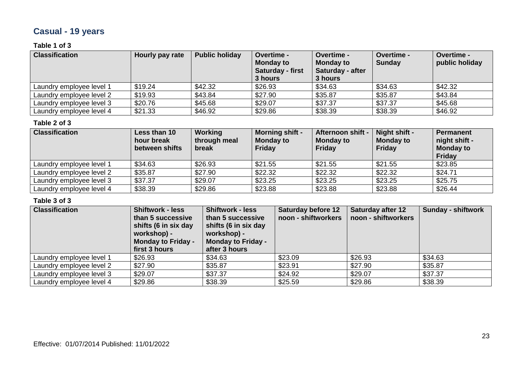# **Casual - 19 years**

### **Table 1 of 3**

| <b>Classification</b>    | Hourly pay rate | <b>Public holiday</b> | <b>Overtime -</b><br><b>Monday to</b><br>Saturday - first<br>3 hours | <b>Overtime -</b><br><b>Monday to</b><br>Saturday - after<br>3 hours | <b>Overtime -</b><br><b>Sunday</b> | <b>Overtime -</b><br>public holiday |
|--------------------------|-----------------|-----------------------|----------------------------------------------------------------------|----------------------------------------------------------------------|------------------------------------|-------------------------------------|
| Laundry emplovee level 1 | \$19.24         | \$42.32               | \$26.93                                                              | \$34.63                                                              | \$34.63                            | \$42.32                             |
| Laundry employee level 2 | \$19.93         | \$43.84               | \$27.90                                                              | \$35.87                                                              | \$35.87                            | \$43.84                             |
| Laundry employee level 3 | \$20.76         | \$45.68               | \$29.07                                                              | \$37.37                                                              | \$37.37                            | \$45.68                             |
| Laundry employee level 4 | \$21.33         | \$46.92               | \$29.86                                                              | \$38.39                                                              | \$38.39                            | \$46.92                             |

#### **Table 2 of 3**

| <b>Classification</b>    | Less than 10<br>hour break<br>between shifts | Working<br>through meal<br>break | <b>Morning shift -</b><br><b>Monday to</b><br><b>Friday</b> | Afternoon shift -<br><b>Monday to</b><br>Friday | Night shift -<br><b>Monday to</b><br>Friday | <b>Permanent</b><br>night shift -<br><b>Monday to</b><br>Friday |
|--------------------------|----------------------------------------------|----------------------------------|-------------------------------------------------------------|-------------------------------------------------|---------------------------------------------|-----------------------------------------------------------------|
| Laundry employee level 1 | \$34.63                                      | \$26.93                          | \$21.55                                                     | \$21.55                                         | \$21.55                                     | \$23.85                                                         |
| Laundry employee level 2 | \$35.87                                      | \$27.90                          | \$22.32                                                     | \$22.32                                         | \$22.32                                     | \$24.71                                                         |
| Laundry employee level 3 | \$37.37                                      | \$29.07                          | \$23.25                                                     | \$23.25                                         | \$23.25                                     | \$25.75                                                         |
| Laundry employee level 4 | \$38.39                                      | \$29.86                          | \$23.88                                                     | \$23.88                                         | \$23.88                                     | \$26.44                                                         |

| <b>Classification</b>    | <b>Shiftwork - less</b><br>than 5 successive<br>shifts (6 in six day<br>workshop) -<br><b>Monday to Friday -</b><br>first 3 hours | <b>Shiftwork - less</b><br>than 5 successive<br>shifts (6 in six day<br>workshop) -<br><b>Monday to Friday -</b><br>after 3 hours | <b>Saturday before 12</b><br>noon - shiftworkers | <b>Saturday after 12</b><br>noon - shiftworkers | <b>Sunday - shiftwork</b> |
|--------------------------|-----------------------------------------------------------------------------------------------------------------------------------|-----------------------------------------------------------------------------------------------------------------------------------|--------------------------------------------------|-------------------------------------------------|---------------------------|
| Laundry employee level 1 | \$26.93                                                                                                                           | \$34.63                                                                                                                           | \$23.09                                          | \$26.93                                         | \$34.63                   |
| Laundry employee level 2 | \$27.90                                                                                                                           | \$35.87                                                                                                                           | \$23.91                                          | \$27.90                                         | \$35.87                   |
| Laundry employee level 3 | \$29.07                                                                                                                           | \$37.37                                                                                                                           | \$24.92                                          | \$29.07                                         | \$37.37                   |
| Laundry employee level 4 | \$29.86                                                                                                                           | \$38.39                                                                                                                           | \$25.59                                          | \$29.86                                         | \$38.39                   |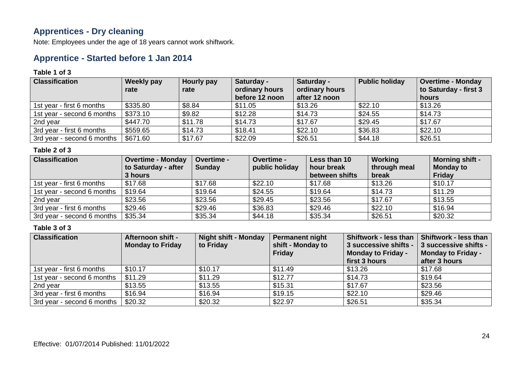### **Apprentices - Dry cleaning**

Note: Employees under the age of 18 years cannot work shiftwork.

### **Apprentice - Started before 1 Jan 2014**

#### **Table 1 of 3**

| <b>Classification</b>      | <b>Weekly pay</b><br>rate | Hourly pay<br>rate | Saturday -<br>ordinary hours<br>before 12 noon | Saturday -<br>ordinary hours<br>after 12 noon | <b>Public holiday</b> | <b>Overtime - Monday</b><br>to Saturday - first 3<br>hours |
|----------------------------|---------------------------|--------------------|------------------------------------------------|-----------------------------------------------|-----------------------|------------------------------------------------------------|
| 1st year - first 6 months  | \$335.80                  | \$8.84             | \$11.05                                        | \$13.26                                       | \$22.10               | \$13.26                                                    |
| 1st year - second 6 months | \$373.10                  | \$9.82             | \$12.28                                        | \$14.73                                       | \$24.55               | \$14.73                                                    |
| 2nd year                   | \$447.70                  | \$11.78            | \$14.73                                        | \$17.67                                       | \$29.45               | \$17.67                                                    |
| 3rd year - first 6 months  | \$559.65                  | \$14.73            | \$18.41                                        | \$22.10                                       | \$36.83               | \$22.10                                                    |
| 3rd year - second 6 months | \$671.60                  | \$17.67            | \$22.09                                        | \$26.51                                       | \$44.18               | \$26.51                                                    |

### **Table 2 of 3**

| <b>Classification</b>      | <b>Overtime - Monday</b> | <b>Overtime -</b> | <b>Overtime -</b> | Less than 10   | Working      | <b>Morning shift -</b> |
|----------------------------|--------------------------|-------------------|-------------------|----------------|--------------|------------------------|
|                            | to Saturday - after      | <b>Sunday</b>     | public holiday    | hour break     | through meal | <b>Monday to</b>       |
|                            | 3 hours                  |                   |                   | between shifts | break        | Friday                 |
| 1st year - first 6 months  | \$17.68                  | \$17.68           | \$22.10           | \$17.68        | \$13.26      | \$10.17                |
| 1st year - second 6 months | \$19.64                  | \$19.64           | \$24.55           | \$19.64        | \$14.73      | \$11.29                |
| 2nd year                   | \$23.56                  | \$23.56           | \$29.45           | \$23.56        | \$17.67      | \$13.55                |
| 3rd year - first 6 months  | \$29.46                  | \$29.46           | \$36.83           | \$29.46        | \$22.10      | \$16.94                |
| 3rd year - second 6 months | \$35.34                  | \$35.34           | \$44.18           | \$35.34        | \$26.51      | \$20.32                |

| <b>Classification</b>      | <b>Afternoon shift -</b><br><b>Monday to Friday</b> | <b>Night shift - Monday</b><br>to Friday | <b>Permanent night</b><br>shift - Monday to<br><b>Friday</b> | <b>Shiftwork - less than</b><br>3 successive shifts -<br><b>Monday to Friday -</b><br>first 3 hours | Shiftwork - less than<br>3 successive shifts -<br><b>Monday to Friday -</b><br>after 3 hours |
|----------------------------|-----------------------------------------------------|------------------------------------------|--------------------------------------------------------------|-----------------------------------------------------------------------------------------------------|----------------------------------------------------------------------------------------------|
| 1st year - first 6 months  | \$10.17                                             | \$10.17                                  | \$11.49                                                      | \$13.26                                                                                             | \$17.68                                                                                      |
| 1st year - second 6 months | \$11.29                                             | \$11.29                                  | \$12.77                                                      | \$14.73                                                                                             | \$19.64                                                                                      |
| 2nd year                   | \$13.55                                             | \$13.55                                  | \$15.31                                                      | \$17.67                                                                                             | \$23.56                                                                                      |
| 3rd year - first 6 months  | \$16.94                                             | \$16.94                                  | \$19.15                                                      | \$22.10                                                                                             | \$29.46                                                                                      |
| 3rd year - second 6 months | \$20.32                                             | \$20.32                                  | \$22.97                                                      | \$26.51                                                                                             | \$35.34                                                                                      |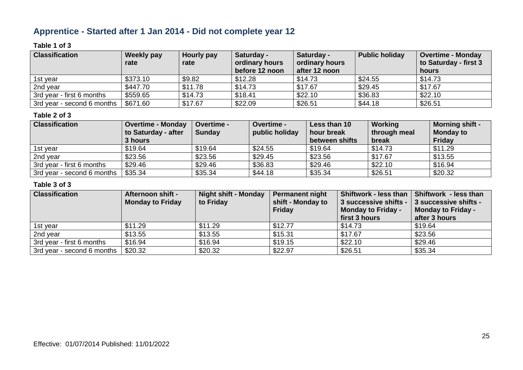### **Apprentice - Started after 1 Jan 2014 - Did not complete year 12**

### **Table 1 of 3**

| <b>Classification</b>      | Weekly pay<br>rate | Hourly pay<br>rate | Saturday -<br>ordinary hours<br>before 12 noon | Saturday -<br>ordinary hours<br>after 12 noon | <b>Public holiday</b> | <b>Overtime - Monday</b><br>to Saturday - first 3<br>hours |
|----------------------------|--------------------|--------------------|------------------------------------------------|-----------------------------------------------|-----------------------|------------------------------------------------------------|
| 1st year                   | \$373.10           | \$9.82             | \$12.28                                        | \$14.73                                       | \$24.55               | \$14.73                                                    |
| 2nd year                   | \$447.70           | \$11.78            | \$14.73                                        | \$17.67                                       | \$29.45               | \$17.67                                                    |
| 3rd year - first 6 months  | \$559.65           | \$14.73            | \$18.41                                        | \$22.10                                       | \$36.83               | \$22.10                                                    |
| 3rd year - second 6 months | \$671.60           | \$17.67            | \$22.09                                        | \$26.51                                       | \$44.18               | \$26.51                                                    |

### **Table 2 of 3**

| <b>Classification</b>      | <b>Overtime - Monday</b><br>to Saturday - after<br>3 hours | <b>Overtime -</b><br><b>Sunday</b> | <b>Overtime -</b><br>public holiday | Less than 10<br>hour break<br>between shifts | Working<br>through meal<br>break | <b>Morning shift -</b><br><b>Monday to</b><br>Friday |
|----------------------------|------------------------------------------------------------|------------------------------------|-------------------------------------|----------------------------------------------|----------------------------------|------------------------------------------------------|
| 1st year                   | \$19.64                                                    | \$19.64                            | \$24.55                             | \$19.64                                      | \$14.73                          | \$11.29                                              |
| 2nd year                   | \$23.56                                                    | \$23.56                            | \$29.45                             | \$23.56                                      | \$17.67                          | \$13.55                                              |
| 3rd year - first 6 months  | \$29.46                                                    | \$29.46                            | \$36.83                             | \$29.46                                      | \$22.10                          | \$16.94                                              |
| 3rd year - second 6 months | \$35.34                                                    | \$35.34                            | \$44.18                             | \$35.34                                      | \$26.51                          | \$20.32                                              |

| <b>Classification</b>      | <b>Afternoon shift -</b><br><b>Monday to Friday</b> | <b>Night shift - Monday</b><br>to Friday | <b>Permanent night</b><br>shift - Monday to<br><b>Friday</b> | Shiftwork - less than<br>3 successive shifts -<br><b>Monday to Friday -</b><br>first 3 hours | Shiftwork - less than<br>3 successive shifts -<br><b>Monday to Friday -</b><br>after 3 hours |
|----------------------------|-----------------------------------------------------|------------------------------------------|--------------------------------------------------------------|----------------------------------------------------------------------------------------------|----------------------------------------------------------------------------------------------|
| 1st year                   | \$11.29                                             | \$11.29                                  | \$12.77                                                      | \$14.73                                                                                      | \$19.64                                                                                      |
| 2nd year                   | \$13.55                                             | \$13.55                                  | \$15.31                                                      | \$17.67                                                                                      | \$23.56                                                                                      |
| 3rd year - first 6 months  | \$16.94                                             | \$16.94                                  | \$19.15                                                      | \$22.10                                                                                      | \$29.46                                                                                      |
| 3rd year - second 6 months | \$20.32                                             | \$20.32                                  | \$22.97                                                      | \$26.51                                                                                      | \$35.34                                                                                      |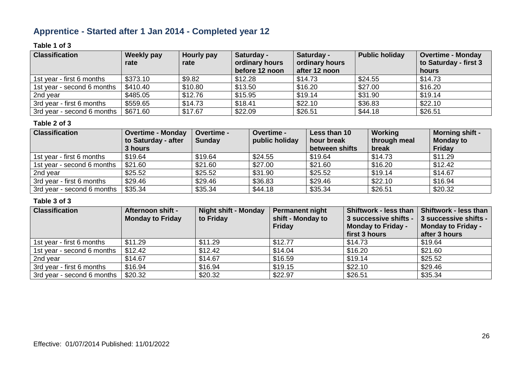### **Apprentice - Started after 1 Jan 2014 - Completed year 12**

### **Table 1 of 3**

| <b>Classification</b>      | Weekly pay | Hourly pay | Saturday -                       | Saturday -                      | <b>Public holiday</b> | <b>Overtime - Monday</b>       |
|----------------------------|------------|------------|----------------------------------|---------------------------------|-----------------------|--------------------------------|
|                            | rate       | rate       | ordinary hours<br>before 12 noon | ordinary hours<br>after 12 noon |                       | to Saturday - first 3<br>hours |
| 1st year - first 6 months  | \$373.10   | \$9.82     | \$12.28                          | \$14.73                         | \$24.55               | \$14.73                        |
| 1st year - second 6 months | \$410.40   | \$10.80    | \$13.50                          | \$16.20                         | \$27.00               | \$16.20                        |
| 2nd year                   | \$485.05   | \$12.76    | \$15.95                          | \$19.14                         | \$31.90               | \$19.14                        |
| 3rd year - first 6 months  | \$559.65   | \$14.73    | \$18.41                          | \$22.10                         | \$36.83               | \$22.10                        |
| 3rd year - second 6 months | \$671.60   | \$17.67    | \$22.09                          | \$26.51                         | \$44.18               | \$26.51                        |

#### **Table 2 of 3**

| <b>Classification</b>      | <b>Overtime - Monday</b><br>to Saturday - after<br>3 hours | <b>Overtime -</b><br><b>Sunday</b> | Overtime -<br>public holiday | Less than 10<br>hour break<br>between shifts | Working<br>through meal<br>break | <b>Morning shift -</b><br><b>Monday to</b><br>Friday |
|----------------------------|------------------------------------------------------------|------------------------------------|------------------------------|----------------------------------------------|----------------------------------|------------------------------------------------------|
| 1st year - first 6 months  | \$19.64                                                    | \$19.64                            | \$24.55                      | \$19.64                                      | \$14.73                          | \$11.29                                              |
| 1st year - second 6 months | \$21.60                                                    | \$21.60                            | \$27.00                      | \$21.60                                      | \$16.20                          | \$12.42                                              |
| 2nd year                   | \$25.52                                                    | \$25.52                            | \$31.90                      | \$25.52                                      | \$19.14                          | \$14.67                                              |
| 3rd year - first 6 months  | \$29.46                                                    | \$29.46                            | \$36.83                      | \$29.46                                      | \$22.10                          | \$16.94                                              |
| 3rd year - second 6 months | \$35.34                                                    | \$35.34                            | \$44.18                      | \$35.34                                      | \$26.51                          | \$20.32                                              |

| <b>Classification</b>      | <b>Afternoon shift -</b><br><b>Monday to Friday</b> | <b>Night shift - Monday</b><br>to Friday | <b>Permanent night</b><br>shift - Monday to<br><b>Friday</b> | Shiftwork - less than<br>3 successive shifts -<br>Monday to Friday -<br>first 3 hours | Shiftwork - less than<br>3 successive shifts -<br><b>Monday to Friday -</b><br>after 3 hours |
|----------------------------|-----------------------------------------------------|------------------------------------------|--------------------------------------------------------------|---------------------------------------------------------------------------------------|----------------------------------------------------------------------------------------------|
| 1st year - first 6 months  | \$11.29                                             | \$11.29                                  | \$12.77                                                      | \$14.73                                                                               | \$19.64                                                                                      |
| 1st year - second 6 months | \$12.42                                             | \$12.42                                  | \$14.04                                                      | \$16.20                                                                               | \$21.60                                                                                      |
| 2nd year                   | \$14.67                                             | \$14.67                                  | \$16.59                                                      | \$19.14                                                                               | \$25.52                                                                                      |
| 3rd year - first 6 months  | \$16.94                                             | \$16.94                                  | \$19.15                                                      | \$22.10                                                                               | \$29.46                                                                                      |
| 3rd year - second 6 months | \$20.32                                             | \$20.32                                  | \$22.97                                                      | \$26.51                                                                               | \$35.34                                                                                      |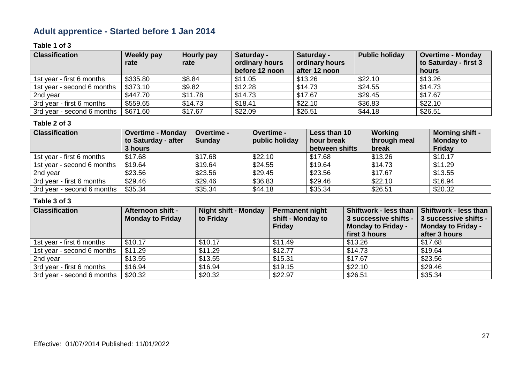# **Adult apprentice - Started before 1 Jan 2014**

### **Table 1 of 3**

| <b>Classification</b>      | Weekly pay | Hourly pay | Saturday -                       | Saturday -                      | <b>Public holiday</b> | <b>Overtime - Monday</b>       |
|----------------------------|------------|------------|----------------------------------|---------------------------------|-----------------------|--------------------------------|
|                            | rate       | rate       | ordinary hours<br>before 12 noon | ordinary hours<br>after 12 noon |                       | to Saturday - first 3<br>hours |
| 1st year - first 6 months  | \$335.80   | \$8.84     | \$11.05                          | \$13.26                         | \$22.10               | \$13.26                        |
| 1st year - second 6 months | \$373.10   | \$9.82     | \$12.28                          | \$14.73                         | \$24.55               | \$14.73                        |
| 2nd year                   | \$447.70   | \$11.78    | \$14.73                          | \$17.67                         | \$29.45               | \$17.67                        |
| 3rd year - first 6 months  | \$559.65   | \$14.73    | \$18.41                          | \$22.10                         | \$36.83               | \$22.10                        |
| 3rd year - second 6 months | \$671.60   | \$17.67    | \$22.09                          | \$26.51                         | \$44.18               | \$26.51                        |

#### **Table 2 of 3**

| <b>Classification</b>      | <b>Overtime - Monday</b><br>to Saturday - after<br>3 hours | Overtime -<br><b>Sunday</b> | <b>Overtime -</b><br>public holiday | Less than 10<br>hour break<br>between shifts | Working<br>through meal<br>break | <b>Morning shift -</b><br><b>Monday to</b><br><b>Friday</b> |
|----------------------------|------------------------------------------------------------|-----------------------------|-------------------------------------|----------------------------------------------|----------------------------------|-------------------------------------------------------------|
| 1st year - first 6 months  | \$17.68                                                    | \$17.68                     | \$22.10                             | \$17.68                                      | \$13.26                          | \$10.17                                                     |
| 1st year - second 6 months | \$19.64                                                    | \$19.64                     | \$24.55                             | \$19.64                                      | \$14.73                          | \$11.29                                                     |
| 2nd year                   | \$23.56                                                    | \$23.56                     | \$29.45                             | \$23.56                                      | \$17.67                          | \$13.55                                                     |
| 3rd year - first 6 months  | \$29.46                                                    | \$29.46                     | \$36.83                             | \$29.46                                      | \$22.10                          | \$16.94                                                     |
| 3rd year - second 6 months | \$35.34                                                    | \$35.34                     | \$44.18                             | \$35.34                                      | \$26.51                          | \$20.32                                                     |

| <b>Classification</b>      | Afternoon shift -<br><b>Monday to Friday</b> | <b>Night shift - Monday</b><br>to Friday | <b>Permanent night</b><br>shift - Monday to<br>Friday | <b>Shiftwork - less than</b><br>3 successive shifts -<br><b>Monday to Friday -</b><br>first 3 hours | Shiftwork - less than<br>3 successive shifts -<br><b>Monday to Friday -</b><br>after 3 hours |
|----------------------------|----------------------------------------------|------------------------------------------|-------------------------------------------------------|-----------------------------------------------------------------------------------------------------|----------------------------------------------------------------------------------------------|
| 1st year - first 6 months  | \$10.17                                      | \$10.17                                  | \$11.49                                               | \$13.26                                                                                             | \$17.68                                                                                      |
| 1st year - second 6 months | \$11.29                                      | \$11.29                                  | \$12.77                                               | \$14.73                                                                                             | \$19.64                                                                                      |
| 2nd year                   | \$13.55                                      | \$13.55                                  | \$15.31                                               | \$17.67                                                                                             | \$23.56                                                                                      |
| 3rd year - first 6 months  | \$16.94                                      | \$16.94                                  | \$19.15                                               | \$22.10                                                                                             | \$29.46                                                                                      |
| 3rd year - second 6 months | \$20.32                                      | \$20.32                                  | \$22.97                                               | \$26.51                                                                                             | \$35.34                                                                                      |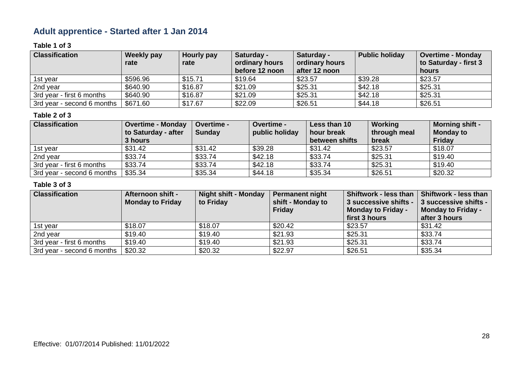### **Adult apprentice - Started after 1 Jan 2014**

### **Table 1 of 3**

| <b>Classification</b>      | Weekly pay<br>rate | Hourly pay<br>rate | Saturday -<br>ordinary hours | Saturday -<br>ordinary hours | <b>Public holiday</b> | <b>Overtime - Monday</b><br>to Saturday - first 3 |
|----------------------------|--------------------|--------------------|------------------------------|------------------------------|-----------------------|---------------------------------------------------|
|                            |                    |                    | before 12 noon               | after 12 noon                |                       | hours                                             |
| 1st year                   | \$596.96           | \$15.71            | \$19.64                      | \$23.57                      | \$39.28               | \$23.57                                           |
| 2nd year                   | \$640.90           | \$16.87            | \$21.09                      | \$25.31                      | \$42.18               | \$25.31                                           |
| 3rd year - first 6 months  | \$640.90           | \$16.87            | \$21.09                      | \$25.31                      | \$42.18               | \$25.31                                           |
| 3rd year - second 6 months | \$671.60           | \$17.67            | \$22.09                      | \$26.51                      | \$44.18               | \$26.51                                           |

### **Table 2 of 3**

| <b>Classification</b>      | <b>Overtime - Monday</b><br>to Saturday - after | <b>Overtime -</b><br><b>Sunday</b> | <b>Overtime -</b><br>public holiday | Less than 10<br>hour break | Working<br>through meal | <b>Morning shift -</b><br><b>Monday to</b> |
|----------------------------|-------------------------------------------------|------------------------------------|-------------------------------------|----------------------------|-------------------------|--------------------------------------------|
|                            | 3 hours                                         |                                    |                                     | between shifts             | break                   | Friday                                     |
| 1st year                   | \$31.42                                         | \$31.42                            | \$39.28                             | \$31.42                    | \$23.57                 | \$18.07                                    |
| 2nd year                   | \$33.74                                         | \$33.74                            | \$42.18                             | \$33.74                    | \$25.31                 | \$19.40                                    |
| 3rd year - first 6 months  | \$33.74                                         | \$33.74                            | \$42.18                             | \$33.74                    | \$25.31                 | \$19.40                                    |
| 3rd year - second 6 months | \$35.34                                         | \$35.34                            | \$44.18                             | \$35.34                    | \$26.51                 | \$20.32                                    |

| <b>Classification</b>      | <b>Afternoon shift -</b><br><b>Monday to Friday</b> | <b>Night shift - Monday</b><br>to Friday | <b>Permanent night</b><br>shift - Monday to<br><b>Friday</b> | <b>Shiftwork - less than</b><br>3 successive shifts -<br><b>Monday to Friday -</b><br>first 3 hours | Shiftwork - less than<br>3 successive shifts -<br><b>Monday to Friday -</b><br>after 3 hours |
|----------------------------|-----------------------------------------------------|------------------------------------------|--------------------------------------------------------------|-----------------------------------------------------------------------------------------------------|----------------------------------------------------------------------------------------------|
| 1st year                   | \$18.07                                             | \$18.07                                  | \$20.42                                                      | \$23.57                                                                                             | \$31.42                                                                                      |
| 2nd year                   | \$19.40                                             | \$19.40                                  | \$21.93                                                      | \$25.31                                                                                             | \$33.74                                                                                      |
| 3rd year - first 6 months  | \$19.40                                             | \$19.40                                  | \$21.93                                                      | \$25.31                                                                                             | \$33.74                                                                                      |
| 3rd year - second 6 months | \$20.32                                             | \$20.32                                  | \$22.97                                                      | \$26.51                                                                                             | \$35.34                                                                                      |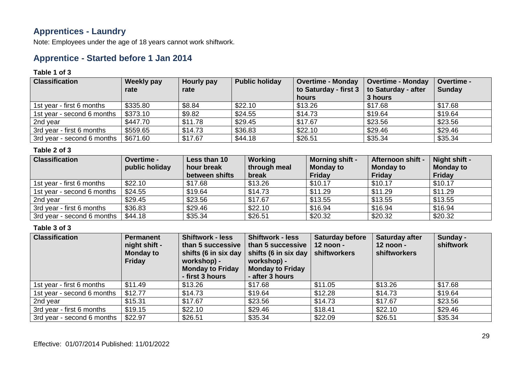### **Apprentices - Laundry**

Note: Employees under the age of 18 years cannot work shiftwork.

### **Apprentice - Started before 1 Jan 2014**

#### **Table 1 of 3**

| <b>Classification</b>      | Weekly pay<br>rate | Hourly pay<br>rate | <b>Public holiday</b> | <b>Overtime - Monday</b><br>to Saturday - first 3<br>hours | <b>Overtime - Monday</b><br>to Saturday - after<br>3 hours | Overtime -<br><b>Sunday</b> |
|----------------------------|--------------------|--------------------|-----------------------|------------------------------------------------------------|------------------------------------------------------------|-----------------------------|
| 1st year - first 6 months  | \$335.80           | \$8.84             | \$22.10               | \$13.26                                                    | \$17.68                                                    | \$17.68                     |
| 1st year - second 6 months | \$373.10           | \$9.82             | \$24.55               | \$14.73                                                    | \$19.64                                                    | \$19.64                     |
| 2nd year                   | \$447.70           | \$11.78            | \$29.45               | \$17.67                                                    | \$23.56                                                    | \$23.56                     |
| 3rd year - first 6 months  | \$559.65           | \$14.73            | \$36.83               | \$22.10                                                    | \$29.46                                                    | \$29.46                     |
| 3rd year - second 6 months | \$671.60           | \$17.67            | \$44.18               | \$26.51                                                    | \$35.34                                                    | \$35.34                     |

### **Table 2 of 3**

| <b>Classification</b>      | <b>Overtime -</b><br>public holiday | Less than 10<br>hour break<br>between shifts | Working<br>through meal<br>break | <b>Morning shift -</b><br><b>Monday to</b><br><b>Friday</b> | Afternoon shift -<br><b>Monday to</b><br>Friday | Night shift -<br><b>Monday to</b><br><b>Friday</b> |
|----------------------------|-------------------------------------|----------------------------------------------|----------------------------------|-------------------------------------------------------------|-------------------------------------------------|----------------------------------------------------|
| 1st year - first 6 months  | \$22.10                             | \$17.68                                      | \$13.26                          | \$10.17                                                     | \$10.17                                         | \$10.17                                            |
| 1st year - second 6 months | \$24.55                             | \$19.64                                      | \$14.73                          | \$11.29                                                     | \$11.29                                         | \$11.29                                            |
| 2nd year                   | \$29.45                             | \$23.56                                      | \$17.67                          | \$13.55                                                     | \$13.55                                         | \$13.55                                            |
| 3rd year - first 6 months  | \$36.83                             | \$29.46                                      | \$22.10                          | \$16.94                                                     | \$16.94                                         | \$16.94                                            |
| 3rd year - second 6 months | \$44.18                             | \$35.34                                      | \$26.51                          | \$20.32                                                     | \$20.32                                         | \$20.32                                            |

| <b>Classification</b>      | <b>Permanent</b><br>night shift -<br><b>Monday to</b><br><b>Friday</b> | <b>Shiftwork - less</b><br>than 5 successive<br>shifts (6 in six day<br>workshop) -<br><b>Monday to Friday</b><br>- first 3 hours | <b>Shiftwork - less</b><br>than 5 successive<br>shifts (6 in six day $\vert$ shiftworkers<br>workshop) -<br><b>Monday to Friday</b><br>- after 3 hours | <b>Saturday before</b><br>$12$ noon - | <b>Saturday after</b><br>12 noon -<br>shiftworkers | Sunday -<br>shiftwork |
|----------------------------|------------------------------------------------------------------------|-----------------------------------------------------------------------------------------------------------------------------------|--------------------------------------------------------------------------------------------------------------------------------------------------------|---------------------------------------|----------------------------------------------------|-----------------------|
| 1st year - first 6 months  | \$11.49                                                                | \$13.26                                                                                                                           | \$17.68                                                                                                                                                | \$11.05                               | \$13.26                                            | \$17.68               |
| 1st year - second 6 months | \$12.77                                                                | \$14.73                                                                                                                           | \$19.64                                                                                                                                                | \$12.28                               | \$14.73                                            | \$19.64               |
| 2nd year                   | \$15.31                                                                | \$17.67                                                                                                                           | \$23.56                                                                                                                                                | \$14.73                               | \$17.67                                            | \$23.56               |
| 3rd year - first 6 months  | \$19.15                                                                | \$22.10                                                                                                                           | \$29.46                                                                                                                                                | \$18.41                               | \$22.10                                            | \$29.46               |
| 3rd year - second 6 months | \$22.97                                                                | \$26.51                                                                                                                           | \$35.34                                                                                                                                                | \$22.09                               | \$26.51                                            | \$35.34               |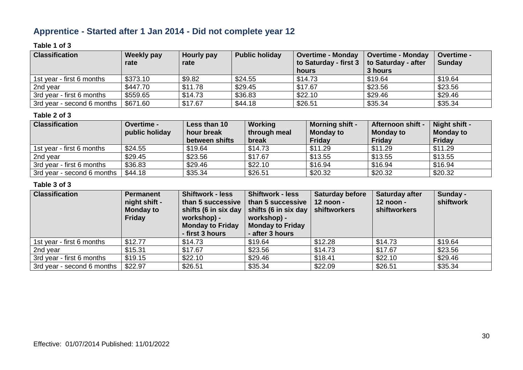### **Apprentice - Started after 1 Jan 2014 - Did not complete year 12**

### **Table 1 of 3**

| <b>Classification</b>      | Weekly pay | Hourly pay | <b>Public holiday</b> | <b>Overtime - Monday</b> | <b>Overtime - Monday</b> | <b>Overtime -</b> |
|----------------------------|------------|------------|-----------------------|--------------------------|--------------------------|-------------------|
|                            | rate       | rate       |                       | to Saturday - first 3    | to Saturday - after      | <b>Sunday</b>     |
|                            |            |            |                       | hours                    | 3 hours                  |                   |
| 1st year - first 6 months  | \$373.10   | \$9.82     | \$24.55               | \$14.73                  | \$19.64                  | \$19.64           |
| 2nd year                   | \$447.70   | \$11.78    | \$29.45               | \$17.67                  | \$23.56                  | \$23.56           |
| 3rd year - first 6 months  | \$559.65   | \$14.73    | \$36.83               | \$22.10                  | \$29.46                  | \$29.46           |
| 3rd year - second 6 months | \$671.60   | \$17.67    | \$44.18               | \$26.51                  | \$35.34                  | \$35.34           |

### **Table 2 of 3**

| <b>Classification</b>      | <b>Overtime -</b><br>public holiday | Less than 10<br>hour break<br>between shifts | Working<br>through meal<br>break | <b>Morning shift -</b><br><b>Monday to</b><br>Friday | Afternoon shift -<br><b>Monday to</b><br>Friday | Night shift -<br><b>Monday to</b><br>Friday |
|----------------------------|-------------------------------------|----------------------------------------------|----------------------------------|------------------------------------------------------|-------------------------------------------------|---------------------------------------------|
| 1st year - first 6 months  | \$24.55                             | \$19.64                                      | \$14.73                          | \$11.29                                              | \$11.29                                         | \$11.29                                     |
| 2nd year                   | \$29.45                             | \$23.56                                      | \$17.67                          | \$13.55                                              | \$13.55                                         | \$13.55                                     |
| 3rd year - first 6 months  | \$36.83                             | \$29.46                                      | \$22.10                          | \$16.94                                              | \$16.94                                         | \$16.94                                     |
| 3rd year - second 6 months | \$44.18                             | \$35.34                                      | \$26.51                          | \$20.32                                              | \$20.32                                         | \$20.32                                     |

| <b>Classification</b>      | <b>Permanent</b><br>night shift -<br><b>Monday to</b><br><b>Friday</b> | <b>Shiftwork - less</b><br>than 5 successive<br>shifts (6 in six day<br>workshop) -<br><b>Monday to Friday</b><br>- first 3 hours | <b>Shiftwork - less</b><br>than 5 successive<br>shifts (6 in six day $\vert$ shiftworkers<br>workshop) -<br><b>Monday to Friday</b><br>- after 3 hours | <b>Saturday before</b><br>$12$ noon - | <b>Saturday after</b><br>12 noon -<br>shiftworkers | Sunday -<br>shiftwork |
|----------------------------|------------------------------------------------------------------------|-----------------------------------------------------------------------------------------------------------------------------------|--------------------------------------------------------------------------------------------------------------------------------------------------------|---------------------------------------|----------------------------------------------------|-----------------------|
| 1st year - first 6 months  | \$12.77                                                                | \$14.73                                                                                                                           | \$19.64                                                                                                                                                | \$12.28                               | \$14.73                                            | \$19.64               |
| 2nd year                   | \$15.31                                                                | \$17.67                                                                                                                           | \$23.56                                                                                                                                                | \$14.73                               | \$17.67                                            | \$23.56               |
| 3rd year - first 6 months  | \$19.15                                                                | \$22.10                                                                                                                           | \$29.46                                                                                                                                                | \$18.41                               | \$22.10                                            | \$29.46               |
| 3rd year - second 6 months | \$22.97                                                                | \$26.51                                                                                                                           | \$35.34                                                                                                                                                | \$22.09                               | \$26.51                                            | \$35.34               |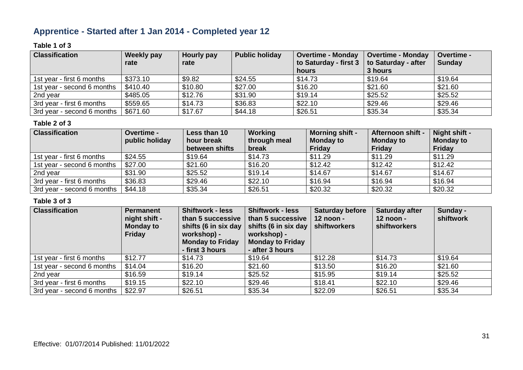### **Apprentice - Started after 1 Jan 2014 - Completed year 12**

### **Table 1 of 3**

| <b>Classification</b>      | <b>Weekly pay</b> | Hourly pay | <b>Public holiday</b> | <b>Overtime - Monday</b> | <b>Overtime - Monday</b> | Overtime -    |
|----------------------------|-------------------|------------|-----------------------|--------------------------|--------------------------|---------------|
|                            | rate              | rate       |                       | to Saturday - first 3    | to Saturday - after      | <b>Sunday</b> |
|                            |                   |            |                       | hours                    | 3 hours                  |               |
| 1st year - first 6 months  | \$373.10          | \$9.82     | \$24.55               | \$14.73                  | \$19.64                  | \$19.64       |
| 1st year - second 6 months | \$410.40          | \$10.80    | \$27.00               | \$16.20                  | \$21.60                  | \$21.60       |
| 2nd year                   | \$485.05          | \$12.76    | \$31.90               | \$19.14                  | \$25.52                  | \$25.52       |
| 3rd year - first 6 months  | \$559.65          | \$14.73    | \$36.83               | \$22.10                  | \$29.46                  | \$29.46       |
| 3rd year - second 6 months | \$671.60          | \$17.67    | \$44.18               | \$26.51                  | \$35.34                  | \$35.34       |

#### **Table 2 of 3**

| <b>Classification</b>      | Overtime -<br>public holiday | Less than 10<br>hour break<br>between shifts | Working<br>through meal<br>break | <b>Morning shift -</b><br><b>Monday to</b><br><b>Friday</b> | Afternoon shift -<br><b>Monday to</b><br>Friday | Night shift -<br><b>Monday to</b><br><b>Friday</b> |
|----------------------------|------------------------------|----------------------------------------------|----------------------------------|-------------------------------------------------------------|-------------------------------------------------|----------------------------------------------------|
| 1st year - first 6 months  | \$24.55                      | \$19.64                                      | \$14.73                          | \$11.29                                                     | \$11.29                                         | \$11.29                                            |
| 1st year - second 6 months | \$27.00                      | \$21.60                                      | \$16.20                          | \$12.42                                                     | \$12.42                                         | \$12.42                                            |
| 2nd year                   | \$31.90                      | \$25.52                                      | \$19.14                          | \$14.67                                                     | \$14.67                                         | \$14.67                                            |
| 3rd year - first 6 months  | \$36.83                      | \$29.46                                      | \$22.10                          | \$16.94                                                     | \$16.94                                         | \$16.94                                            |
| 3rd year - second 6 months | \$44.18                      | \$35.34                                      | \$26.51                          | \$20.32                                                     | \$20.32                                         | \$20.32                                            |

| <b>Classification</b>      | Permanent<br>night shift -<br><b>Monday to</b><br><b>Friday</b> | <b>Shiftwork - less</b><br>than 5 successive<br>shifts (6 in six day<br>workshop) -<br><b>Monday to Friday</b><br>- first 3 hours | <b>Shiftwork - less</b><br>than 5 successive<br>shifts (6 in six day<br>workshop) -<br><b>Monday to Friday</b><br>- after 3 hours | <b>Saturday before</b><br>12 noon -<br>shiftworkers | <b>Saturday after</b><br>12 noon -<br><b>shiftworkers</b> | Sunday -<br>shiftwork |
|----------------------------|-----------------------------------------------------------------|-----------------------------------------------------------------------------------------------------------------------------------|-----------------------------------------------------------------------------------------------------------------------------------|-----------------------------------------------------|-----------------------------------------------------------|-----------------------|
| 1st year - first 6 months  | \$12.77                                                         | \$14.73                                                                                                                           | \$19.64                                                                                                                           | \$12.28                                             | \$14.73                                                   | \$19.64               |
| 1st year - second 6 months | \$14.04                                                         | \$16.20                                                                                                                           | \$21.60                                                                                                                           | \$13.50                                             | \$16.20                                                   | \$21.60               |
| 2nd year                   | \$16.59                                                         | \$19.14                                                                                                                           | \$25.52                                                                                                                           | \$15.95                                             | \$19.14                                                   | \$25.52               |
| 3rd year - first 6 months  | \$19.15                                                         | \$22.10                                                                                                                           | \$29.46                                                                                                                           | \$18.41                                             | \$22.10                                                   | \$29.46               |
| 3rd year - second 6 months | \$22.97                                                         | \$26.51                                                                                                                           | \$35.34                                                                                                                           | \$22.09                                             | \$26.51                                                   | \$35.34               |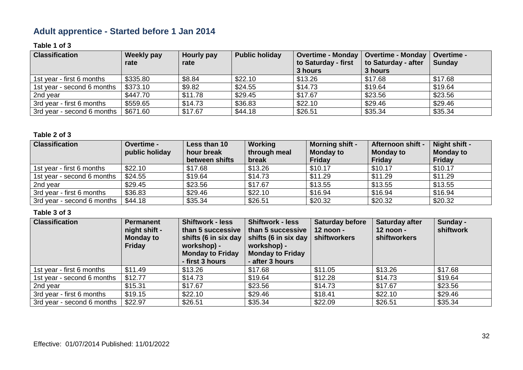### **Adult apprentice - Started before 1 Jan 2014**

### **Table 1 of 3**

| <b>Classification</b>      | Weekly pay<br>rate | Hourly pay<br>rate | <b>Public holiday</b> | Overtime - Monday   Overtime - Monday<br>to Saturday - first<br>3 hours | to Saturday - after<br>3 hours | Overtime -<br><b>Sunday</b> |
|----------------------------|--------------------|--------------------|-----------------------|-------------------------------------------------------------------------|--------------------------------|-----------------------------|
| 1st year - first 6 months  | \$335.80           | \$8.84             | \$22.10               | \$13.26                                                                 | \$17.68                        | \$17.68                     |
| 1st year - second 6 months | \$373.10           | \$9.82             | \$24.55               | \$14.73                                                                 | \$19.64                        | \$19.64                     |
| 2nd year                   | \$447.70           | \$11.78            | \$29.45               | \$17.67                                                                 | \$23.56                        | \$23.56                     |
| 3rd year - first 6 months  | \$559.65           | \$14.73            | \$36.83               | \$22.10                                                                 | \$29.46                        | \$29.46                     |
| 3rd year - second 6 months | \$671.60           | \$17.67            | \$44.18               | \$26.51                                                                 | \$35.34                        | \$35.34                     |

#### **Table 2 of 3**

| <b>Classification</b>      | Overtime -<br>public holiday | Less than 10<br>hour break<br>between shifts | Working<br>through meal<br>break | <b>Morning shift -</b><br><b>Monday to</b><br><b>Friday</b> | Afternoon shift -<br><b>Monday to</b><br><b>Friday</b> | Night shift -<br><b>Monday to</b><br><b>Friday</b> |
|----------------------------|------------------------------|----------------------------------------------|----------------------------------|-------------------------------------------------------------|--------------------------------------------------------|----------------------------------------------------|
| 1st year - first 6 months  | \$22.10                      | \$17.68                                      | \$13.26                          | \$10.17                                                     | \$10.17                                                | \$10.17                                            |
| 1st year - second 6 months | \$24.55                      | \$19.64                                      | \$14.73                          | \$11.29                                                     | \$11.29                                                | \$11.29                                            |
| 2nd year                   | \$29.45                      | \$23.56                                      | \$17.67                          | \$13.55                                                     | \$13.55                                                | \$13.55                                            |
| 3rd year - first 6 months  | \$36.83                      | \$29.46                                      | \$22.10                          | \$16.94                                                     | \$16.94                                                | \$16.94                                            |
| 3rd year - second 6 months | \$44.18                      | \$35.34                                      | \$26.51                          | \$20.32                                                     | \$20.32                                                | \$20.32                                            |

| <b>Classification</b>      | <b>Permanent</b><br>night shift -<br><b>Monday to</b><br>Friday | <b>Shiftwork - less</b><br>than 5 successive<br>shifts (6 in six day<br>workshop) -<br><b>Monday to Friday</b><br>- first 3 hours | <b>Shiftwork - less</b><br>than 5 successive<br>shifts (6 in six day<br>workshop) -<br><b>Monday to Friday</b><br>- after 3 hours | <b>Saturday before</b><br>$12$ noon -<br>shiftworkers | <b>Saturday after</b><br>12 noon -<br><b>shiftworkers</b> | Sunday -<br>shiftwork |
|----------------------------|-----------------------------------------------------------------|-----------------------------------------------------------------------------------------------------------------------------------|-----------------------------------------------------------------------------------------------------------------------------------|-------------------------------------------------------|-----------------------------------------------------------|-----------------------|
| 1st year - first 6 months  | \$11.49                                                         | \$13.26                                                                                                                           | \$17.68                                                                                                                           | \$11.05                                               | \$13.26                                                   | \$17.68               |
| 1st year - second 6 months | \$12.77                                                         | \$14.73                                                                                                                           | \$19.64                                                                                                                           | \$12.28                                               | \$14.73                                                   | \$19.64               |
| 2nd year                   | \$15.31                                                         | \$17.67                                                                                                                           | \$23.56                                                                                                                           | \$14.73                                               | \$17.67                                                   | \$23.56               |
| 3rd year - first 6 months  | \$19.15                                                         | \$22.10                                                                                                                           | \$29.46                                                                                                                           | \$18.41                                               | \$22.10                                                   | \$29.46               |
| 3rd year - second 6 months | \$22.97                                                         | \$26.51                                                                                                                           | \$35.34                                                                                                                           | \$22.09                                               | \$26.51                                                   | \$35.34               |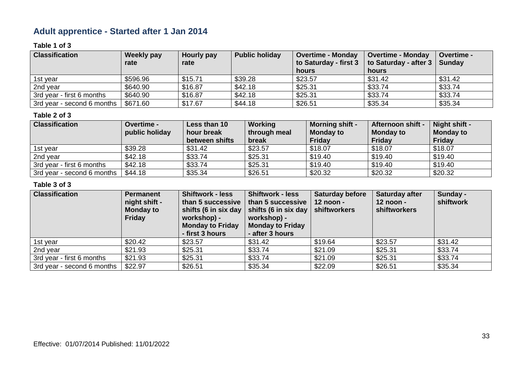### **Adult apprentice - Started after 1 Jan 2014**

### **Table 1 of 3**

| <b>Classification</b>      | Weekly pay | Hourly pay | <b>Public holiday</b> | <b>Overtime - Monday</b> | <b>Overtime - Monday</b> | Overtime -    |
|----------------------------|------------|------------|-----------------------|--------------------------|--------------------------|---------------|
|                            | rate       | rate       |                       | to Saturday - first 3    | to Saturday - after 3    | <b>Sunday</b> |
|                            |            |            |                       | hours                    | hours                    |               |
| 1st year                   | \$596.96   | \$15.71    | \$39.28               | \$23.57                  | \$31.42                  | \$31.42       |
| 2nd year                   | \$640.90   | \$16.87    | \$42.18               | \$25.31                  | \$33.74                  | \$33.74       |
| 3rd year - first 6 months  | \$640.90   | \$16.87    | \$42.18               | \$25.31                  | \$33.74                  | \$33.74       |
| 3rd year - second 6 months | \$671.60   | \$17.67    | \$44.18               | \$26.51                  | \$35.34                  | \$35.34       |

### **Table 2 of 3**

| <b>Classification</b>      | <b>Overtime -</b> | Less than 10   | Working      | <b>Morning shift -</b> | <b>Afternoon shift -</b> | Night shift -    |
|----------------------------|-------------------|----------------|--------------|------------------------|--------------------------|------------------|
|                            | public holiday    | hour break     | through meal | <b>Monday to</b>       | <b>Monday to</b>         | <b>Monday to</b> |
|                            |                   | between shifts | break        | <b>Friday</b>          | Friday                   | <b>Friday</b>    |
| 1st year                   | \$39.28           | \$31.42        | \$23.57      | \$18.07                | \$18.07                  | \$18.07          |
| 2nd year                   | \$42.18           | \$33.74        | \$25.31      | \$19.40                | \$19.40                  | \$19.40          |
| 3rd year - first 6 months  | \$42.18           | \$33.74        | \$25.31      | \$19.40                | \$19.40                  | \$19.40          |
| 3rd year - second 6 months | \$44.18           | \$35.34        | \$26.51      | \$20.32                | \$20.32                  | \$20.32          |

| <b>Classification</b>      | <b>Permanent</b><br>night shift -<br><b>Monday to</b><br><b>Friday</b> | <b>Shiftwork - less</b><br>than 5 successive<br>shifts (6 in six day<br>workshop) -<br><b>Monday to Friday</b><br>- first 3 hours | <b>Shiftwork - less</b><br>than 5 successive<br>shifts (6 in six day $\vert$ shiftworkers<br>workshop) -<br><b>Monday to Friday</b><br>- after 3 hours | <b>Saturday before</b><br>$12$ noon - | <b>Saturday after</b><br>12 noon -<br>shiftworkers | Sunday -<br>shiftwork |
|----------------------------|------------------------------------------------------------------------|-----------------------------------------------------------------------------------------------------------------------------------|--------------------------------------------------------------------------------------------------------------------------------------------------------|---------------------------------------|----------------------------------------------------|-----------------------|
| 1st year                   | \$20.42                                                                | \$23.57                                                                                                                           | \$31.42                                                                                                                                                | \$19.64                               | \$23.57                                            | \$31.42               |
| 2nd year                   | \$21.93                                                                | \$25.31                                                                                                                           | \$33.74                                                                                                                                                | \$21.09                               | \$25.31                                            | \$33.74               |
| 3rd year - first 6 months  | \$21.93                                                                | \$25.31                                                                                                                           | \$33.74                                                                                                                                                | \$21.09                               | \$25.31                                            | \$33.74               |
| 3rd year - second 6 months | \$22.97                                                                | \$26.51                                                                                                                           | \$35.34                                                                                                                                                | \$22.09                               | \$26.51                                            | \$35.34               |